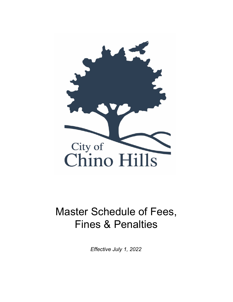

# Master Schedule of Fees, Fines & Penalties

*Effective July 1, 2022*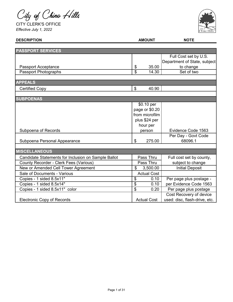City of Chino Hills

CITY CLERK'S OFFICE *Effective July 1, 2022*



| <b>DESCRIPTION</b>                                  |                          | <b>AMOUNT</b>      | <b>NOTE</b>                   |
|-----------------------------------------------------|--------------------------|--------------------|-------------------------------|
|                                                     |                          |                    |                               |
| <b>PASSPORT SERVICES</b>                            |                          |                    |                               |
|                                                     |                          |                    | Full Cost set by U.S.         |
|                                                     |                          |                    | Department of State, subject  |
| <b>Passport Acceptance</b>                          | \$                       | 35.00              | to change                     |
| Passport Photographs                                | \$                       | 14.30              | Set of two                    |
|                                                     |                          |                    |                               |
| <b>APPEALS</b>                                      |                          |                    |                               |
| <b>Certified Copy</b>                               | \$                       | 40.90              |                               |
|                                                     |                          |                    |                               |
| <b>SUBPOENAS</b>                                    |                          |                    |                               |
|                                                     |                          | \$0.10 per         |                               |
|                                                     |                          | page or \$0.20     |                               |
|                                                     |                          | from microfilm     |                               |
|                                                     |                          | plus \$24 per      |                               |
|                                                     |                          | hour per           |                               |
| Subpoena of Records                                 |                          | person             | Evidence Code 1563            |
|                                                     |                          |                    | Per Day - Govt Code           |
| Subpoena Personal Appearance                        | \$                       | 275.00             | 68096.1                       |
|                                                     |                          |                    |                               |
| <b>MISCELLANEOUS</b>                                |                          |                    |                               |
| Candidate Statements for Inclusion on Sample Ballot |                          | Pass Thru          | Full cost set by county,      |
| County Recorder - Clerk Fees (Various)              |                          | Pass Thru          | subject to change             |
| New or Amended Cell Tower Agreement                 | $\mathfrak{L}$           | 3,500.00           | <b>Initial Deposit</b>        |
| Sale of Documents - Various                         |                          | <b>Actual Cost</b> |                               |
| Copies - 1 sided 8.5x11"                            | \$                       | 0.10               | Per page plus postage -       |
| Copies - 1 sided 8.5x14"                            | \$                       | 0.10               | per Evidence Code 1563        |
| Copies - 1 sided 8.5x11" color                      | $\overline{\mathcal{S}}$ | 0.20               | Per page plus postage         |
|                                                     |                          |                    | Cost Recovery of device       |
| <b>Electronic Copy of Records</b>                   |                          | <b>Actual Cost</b> | used: disc, flash-drive, etc. |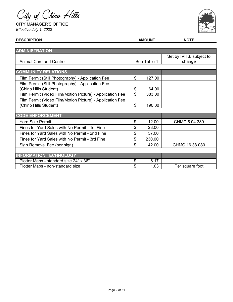City of Chino Hills

CITY MANAGER'S OFFICE *Effective July 1, 2022*



| <b>DESCRIPTION</b>                                        | <b>AMOUNT</b> | <b>NOTE</b>             |
|-----------------------------------------------------------|---------------|-------------------------|
|                                                           |               |                         |
| <b>ADMINISTRATION</b>                                     |               |                         |
|                                                           |               | Set by IVHS, subject to |
| <b>Animal Care and Control</b>                            | See Table 1   | change                  |
|                                                           |               |                         |
| <b>COMMUNITY RELATIONS</b>                                |               |                         |
| Film Permit (Still Photography) - Application Fee         | \$<br>127.00  |                         |
| Film Permit (Still Photography) - Application Fee         |               |                         |
| (Chino Hills Student)                                     | \$<br>64.00   |                         |
| Film Permit (Video Film/Motion Picture) - Application Fee | \$<br>383.00  |                         |
| Film Permit (Video Film/Motion Picture) - Application Fee |               |                         |
| (Chino Hills Student)                                     | \$<br>190.00  |                         |
|                                                           |               |                         |
| <b>CODE ENFORCEMENT</b>                                   |               |                         |
| <b>Yard Sale Permit</b>                                   | \$<br>12.00   | CHMC 5.04.330           |
| Fines for Yard Sales with No Permit - 1st Fine            | \$<br>28.00   |                         |
| Fines for Yard Sales with No Permit - 2nd Fine            | \$<br>57.00   |                         |
| Fines for Yard Sales with No Permit - 3rd Fine            | \$<br>230.00  |                         |
| Sign Removal Fee (per sign)                               | \$<br>42.00   | CHMC 16.38.080          |
|                                                           |               |                         |
| <b>INFORMATION TECHNOLOGY</b>                             |               |                         |
| Plotter Maps - standard size 24" x 36"                    | \$<br>6.17    |                         |
| Plotter Maps - non-standard size                          | \$<br>1.03    | Per square foot         |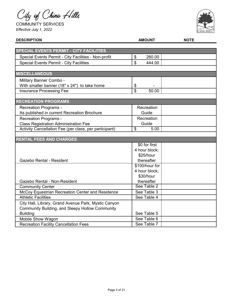City of Chino Hills

COMMUNITY SERVICES *Effective July 1, 2022*



| <b>DESCRIPTION</b>                                     | <b>AMOUNT</b>  | <b>NOTE</b> |
|--------------------------------------------------------|----------------|-------------|
|                                                        |                |             |
| <b>SPECIAL EVENTS PERMIT - CITY FACILITIES</b>         |                |             |
| Special Events Permit - City Facilities - Non-profit   | \$<br>260.00   |             |
| <b>Special Events Permit - City Facilities</b>         | \$<br>444.00   |             |
|                                                        |                |             |
| <b>MISCELLANEOUS</b>                                   |                |             |
| Military Banner Combo -                                |                |             |
| With smaller banner (18" x 24") to take home           | \$             |             |
| <b>Insurance Processing Fee</b>                        | \$<br>50.00    |             |
|                                                        |                |             |
| <b>RECREATION PROGRAMS</b>                             |                |             |
| <b>Recreation Programs -</b>                           | Recreation     |             |
| As published in current Recreation Brochure            | Guide          |             |
| <b>Recreation Programs -</b>                           | Recreation     |             |
| <b>Class Registration Administration Fee</b>           | Guide          |             |
| Activity Cancellation Fee (per class, per participant) | \$<br>5.00     |             |
|                                                        |                |             |
| <b>RENTAL FEES AND CHARGES</b>                         |                |             |
|                                                        | \$0 for first  |             |
|                                                        | 4 hour block;  |             |
|                                                        | \$25/hour      |             |
| Gazebo Rental - Resident                               | thereafter     |             |
|                                                        | \$100/hour for |             |
|                                                        | 4 hour block;  |             |
|                                                        | \$30/hour      |             |
| Gazebo Rental - Non-Resident                           | thereafter     |             |
| <b>Community Center</b>                                | See Table 2    |             |
| McCoy Equestrian Recreation Center and Residence       | See Table 3    |             |
| <b>Athletic Facilities</b>                             | See Table 4    |             |
| City Hall, Library, Grand Avenue Park, Mystic Canyon   |                |             |
| Community Building, and Sleepy Hollow Community        |                |             |
| <b>Building</b>                                        | See Table 5    |             |
| Mobile Show Wagon                                      | See Table 6    |             |
| <b>Recreation Facility Cancellation Fees</b>           | See Table 7    |             |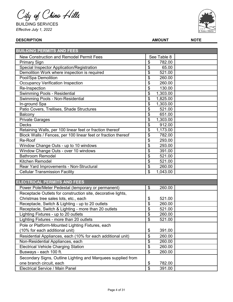City of Chino Hills

BUILDING SERVICES *Effective July 1, 2022*



| <b>BUILDING PERMITS AND FEES</b>                              |                                     |  |
|---------------------------------------------------------------|-------------------------------------|--|
| <b>New Construction and Remodel Permit Fees</b>               | See Table 8                         |  |
| <b>Primary Sign</b>                                           | \$<br>782.00                        |  |
| Special Inspector Application/Registration                    | \$<br>65.00                         |  |
| Demolition Work where inspection is required                  | \$<br>521.00                        |  |
| Pool/Spa Demolition                                           | 260.00<br>\$                        |  |
| <b>Occupancy Verification Inspection</b>                      | \$<br>260.00                        |  |
| Re-Inspection                                                 | \$<br>130.00                        |  |
| Swimming Pools - Residential                                  | \$<br>1,303.00                      |  |
| Swimming Pools - Non-Residential                              | \$<br>1,825.00                      |  |
| In-ground Spa                                                 | \$<br>1,303.00                      |  |
| Patio Covers, Trellises, Shade Structures                     | \$<br>521.00                        |  |
| Balcony                                                       | \$<br>651.00                        |  |
| <b>Private Garages</b>                                        | \$<br>1,303.00                      |  |
| <b>Decks</b>                                                  | \$<br>912.00                        |  |
| Retaining Walls, per 100 linear feet or fraction thereof      | \$<br>1,173.00                      |  |
| Block Walls / Fences, per 100 linear feet or fraction thereof | \$<br>782.00                        |  |
| Re-Roof                                                       | \$<br>293.00                        |  |
| Window Change Outs - up to 10 windows                         | \$<br>293.00                        |  |
| Window Change Outs - over 10 windows                          | \$<br>391.00                        |  |
| <b>Bathroom Remodel</b>                                       | \$<br>521.00                        |  |
| Kitchen Remodel                                               | \$<br>521.00                        |  |
| Rear Yard Improvements - Non-Structural                       | \$<br>260.00                        |  |
| <b>Cellular Transmission Facility</b>                         | \$<br>1,043.00                      |  |
|                                                               |                                     |  |
| <b>ELECTRICAL PERMITS AND FEES</b>                            |                                     |  |
| Power Pole/Meter Pedestal (temporary or permanent)            | \$<br>260.00                        |  |
| Receptacle Outlets for construction site, decorative lights,  |                                     |  |
| Christmas tree sales lots, etc., each                         | 521.00<br>\$                        |  |
| Receptacle, Switch & Lighting - up to 20 outlets              | \$<br>260.00                        |  |
| Receptacle, Switch & Lighting - more than 20 outlets          | \$<br>521.00                        |  |
| Lighting Fixtures - up to 20 outlets                          | \$<br>260.00                        |  |
| Lighting Fixtures - more than 20 outlets                      | \$<br>521.00                        |  |
| Pole or Platform-Mounted Lighting Fixtures, each              |                                     |  |
| (10% for each additional unit)                                | \$<br>391.00                        |  |
| Residential Appliances, each (10% for each additional unit)   | \$<br>260.00                        |  |
| Non-Residential Appliances, each                              | \$<br>260.00                        |  |
| <b>Electrical Vehicle Charging Station</b>                    | \$<br>260.00                        |  |
| Busways - each 100 ft.                                        | $\boldsymbol{\mathsf{S}}$<br>260.00 |  |
| Secondary Signs, Outline Lighting and Marquees supplied from  |                                     |  |
| one branch circuit, each                                      | 782.00<br>\$                        |  |
| Electrical Service / Main Panel                               | \$<br>391.00                        |  |
|                                                               |                                     |  |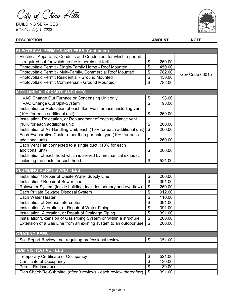City of Chino Hills

BUILDING SERVICES *Effective July 1, 2022*



#### **DESCRIPTION AMOUNT NOTE** \$ 260.00 \$ 450.00 \$ 782.00 \$ 450.00 \$ 782.00 \$ 93.00 \$ 93.00 \$ 260.00 \$ 260.00 \$ 260.00 \$ 260.00 \$ 260.00 \$ 521.00 \$ 260.00  $\frac{1}{2}$  391.00 \$ 260.00  $\frac{1}{2}$  912.00  $\frac{1}{2}$  110.00 \$ 391.00 \$ 391.00 \$ 391.00  $\sqrt{$}$  260.00 \$ 260.00 \$ 651.00 \$ 521.00 \$ 130.00 \$ 130.00 Photovoltaic Permit Pindu-Parmity, Commercial Roof Mounted<br>Photovoltaic Permit Residential - Ground Mounted 8 450.00 Gov Code 66015 Certificate of Occupancy Permit Re-Issuance Installation/Extension of Gas Piping System on/within a structure Extension of a Gas Line from an existing system to an outdoor use Soil Report Review - not requiring professional review Temporary Certificate of Occupancy Installation of Grease Interceptor Installation, Alteration, or Repair of Water Piping Installation, Alteration, or Repair of Drainage Piping Rainwater System (inside building, includes primary and overflow) Each Private Sewage Disposal System Each Water Heater Installation, Relocation, or Replacement of each appliance vent (10% for each additional unit) Installation of Air Handling Unit, each (10% for each additional unit) Each Evaporative Cooler other than portable type (10% for each additional unit) Each Vent Fan connected to a single duct (10% for each additional unit) Installation of each hood which is served by mechanical exhaust, including the ducts for such hood Photovoltaic Permit - Multi-Family, Commercial Roof Mounted Photovoltaic Permit Commercial - Ground Mounted HVAC Change Out Furnace or Condensing Unit only HVAC Change Out Split-System **ELECTRICAL PERMITS AND FEES (Continued)** Installation or Relocation of each floor/wall furnace, including vent (10% for each additional unit) Electrical Apparatus, Conduits and Conductors for which a permit is required but for which no fee is herein set forth Photovoltaic Permit - Single-Family Home - Roof Mounted Installation / Repair of Onsite Water Supply Line Installation / Repair of Sewer Line **GRADING FEES ADMINISTRATIVE FEES MECHANICAL PERMITS AND FEES PLUMBING PERMITS AND FEES**

Plan Check Re-Submittal (after 3 reviews - each review thereafter)

\$ 391.00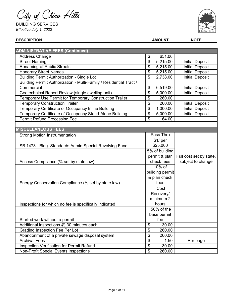City of Chino Hills

BUILDING SERVICES *Effective July 1, 2022*



| <b>DESCRIPTION</b>                                                 |                         | <b>AMOUNT</b>          | <b>NOTE</b>             |  |
|--------------------------------------------------------------------|-------------------------|------------------------|-------------------------|--|
|                                                                    |                         |                        |                         |  |
| <b>ADMINISTRATIVE FEES (Continued)</b>                             |                         |                        |                         |  |
| <b>Address Change</b>                                              | \$                      | 651.00                 |                         |  |
| <b>Street Naming</b>                                               | \$                      | $\overline{5}$ ,215.00 | <b>Initial Deposit</b>  |  |
| <b>Renaming of Public Streets</b>                                  | \$                      | 5,215.00               | <b>Initial Deposit</b>  |  |
| Honorary Street Names                                              | \$                      | 5,215.00               | <b>Initial Deposit</b>  |  |
| <b>Building Permit Authorization - Single Lot</b>                  | \$                      | 2,738.00               | <b>Initial Deposit</b>  |  |
| Building Permit Authorization - Multi-Family / Residential Tract / |                         |                        |                         |  |
| Commercial                                                         | \$                      | 6,519.00               | <b>Initial Deposit</b>  |  |
| Geotechnical Report Review (single dwelling unit)                  | \$                      | 5,000.00               | <b>Initial Deposit</b>  |  |
| Temporary Use Permit for Temporary Construction Trailer            | \$                      | 260.00                 |                         |  |
| <b>Temporary Construction Trailer</b>                              | \$                      | 260.00                 | <b>Initial Deposit</b>  |  |
| Temporary Certificate of Occupancy Inline Building                 | \$                      | 1,000.00               | <b>Initial Deposit</b>  |  |
| Temporary Certificate of Occupancy Stand-Alone Building            | \$                      | 5,000.00               | <b>Initial Deposit</b>  |  |
| <b>Permit Refund Processing Fee</b>                                | \$                      | 64.00                  |                         |  |
|                                                                    |                         |                        |                         |  |
| <b>MISCELLANEOUS FEES</b>                                          |                         |                        |                         |  |
| <b>Strong Motion Instrumentation</b>                               |                         | Pass Thru              |                         |  |
|                                                                    |                         | $$1/$ per              |                         |  |
| SB 1473 - Bldg. Standards Admin Special Revolving Fund             |                         | \$25,000               |                         |  |
|                                                                    |                         | 5% of building         |                         |  |
|                                                                    |                         | permit & plan          | Full cost set by state, |  |
| Access Compliance (% set by state law)                             |                         | check fees             | subject to change       |  |
|                                                                    |                         | $10\%$ of              |                         |  |
|                                                                    |                         | building permit        |                         |  |
|                                                                    |                         | & plan check           |                         |  |
| Energy Conservation Compliance (% set by state law)                |                         | fees                   |                         |  |
|                                                                    |                         | Cost                   |                         |  |
|                                                                    |                         | Recovery/              |                         |  |
|                                                                    |                         | minimum 2              |                         |  |
| Inspections for which no fee is specifically indicated             |                         | hours                  |                         |  |
|                                                                    |                         | $50\%$ of the          |                         |  |
|                                                                    |                         | base permit            |                         |  |
| Started work without a permit                                      |                         | fee                    |                         |  |
| Additional inspections @ 30 minutes each                           | \$                      | 130.00                 |                         |  |
| Grading Inspection Fee Per Lot                                     | \$                      | 260.00                 |                         |  |
| Abandonment of a private sewage disposal system                    | \$                      | 260.00                 |                         |  |
| <b>Archival Fees</b>                                               | \$                      | 1.50                   | Per page                |  |
| Inspection Verification for Permit Refund                          | $\overline{\mathbf{e}}$ | 130.00                 |                         |  |
| <b>Non-Profit Special Events Inspections</b>                       | \$                      | 260.00                 |                         |  |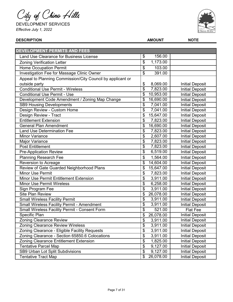City of Chino Hills

DEVELOPMENT SERVICES *Effective July 1, 2022*



| <b>DEVELOPMENT PERMITS AND FEES</b>                        |                                              |                        |
|------------------------------------------------------------|----------------------------------------------|------------------------|
| <b>Land Use Clearance for Business License</b>             | \$<br>156.00                                 |                        |
| <b>Zoning Verification Letter</b>                          | \$<br>1,173.00                               |                        |
| <b>Home Occupation Permit</b>                              | $\frac{1}{2}$<br>103.00                      |                        |
| Investigation Fee for Massage Clinic Owner                 | \$<br>391.00                                 |                        |
| Appeal to Planning Commission/City Council by applicant or |                                              |                        |
| outside party                                              | 8,069.00<br>\$                               | <b>Initial Deposit</b> |
| <b>Conditional Use Permit - Wireless</b>                   | \$<br>7,823.00                               | <b>Initial Deposit</b> |
| <b>Conditional Use Permit - Use</b>                        | \$<br>10,953.00                              | <b>Initial Deposit</b> |
| Development Code Amendment / Zoning Map Change             | \$<br>16,690.00                              | <b>Initial Deposit</b> |
| <b>SB9 Housing Developments</b>                            | \$<br>7,041.00                               | <b>Initial Deposit</b> |
| Design Review - Custom Home                                | \$<br>7,041.00                               | <b>Initial Deposit</b> |
| Design Review - Tract                                      | \$<br>15,647.00                              | <b>Initial Deposit</b> |
| <b>Entitlement Extension</b>                               | $\frac{1}{2}$<br>7,823.00                    | <b>Initial Deposit</b> |
| <b>General Plan Amendment</b>                              | \$<br>16,690.00                              | <b>Initial Deposit</b> |
| <b>Land Use Determination Fee</b>                          | \$<br>7,823.00                               | <b>Initial Deposit</b> |
| <b>Minor Variance</b>                                      | \$<br>2,607.00                               | <b>Initial Deposit</b> |
| Major Variance                                             | \$<br>7,823.00                               | <b>Initial Deposit</b> |
| <b>Post Entitlement</b>                                    | $\boldsymbol{\mathsf{\$}}$<br>7,823.00       | <b>Initial Deposit</b> |
| <b>Pre-Application Review</b>                              | $\overline{\$}$<br>6,519.00                  | <b>Initial Deposit</b> |
| <b>Planning Research Fee</b>                               | \$<br>1,564.00                               | <b>Initial Deposit</b> |
| Reversion to Acreage                                       | \$<br>14,604.00                              | <b>Initial Deposit</b> |
| Review of Gate Guarded Neighborhood Plans                  | \$<br>15,647.00                              | <b>Initial Deposit</b> |
| <b>Minor Use Permit</b>                                    | \$<br>7,823.00                               | <b>Initial Deposit</b> |
| Minor Use Permit Entitlement Extension                     | \$<br>$\overline{3,911.00}$                  | <b>Initial Deposit</b> |
| <b>Minor Use Permit Wireless</b>                           | $\overline{\boldsymbol{\theta}}$<br>6,258.00 | <b>Initial Deposit</b> |
| Sign Program Fee                                           | \$<br>3,911.00                               | <b>Initial Deposit</b> |
| <b>Site Plan Review</b>                                    | \$<br>26,078.00                              | <b>Initial Deposit</b> |
| <b>Small Wireless Facility Permit</b>                      | \$<br>3,911.00                               | <b>Initial Deposit</b> |
| <b>Small Wireless Facility Permit - Amendment</b>          | $\overline{\$}$<br>3,911.00                  | <b>Initial Deposit</b> |
| Small Wireless Facility Permit - Consent Form              | \$<br>521.00                                 | <b>Flat Fee</b>        |
| <b>Specific Plan</b>                                       | \$<br>26,078.00                              | <b>Initial Deposit</b> |
| <b>Zoning Clearance Review</b>                             | \$<br>3,911.00                               | <b>Initial Deposit</b> |
| <b>Zoning Clearance Review Wireless</b>                    | \$<br>3,911.00                               | <b>Initial Deposit</b> |
| Zoning Clearance - Eligible Facility Requests              | $\frac{1}{2}$<br>3,911.00                    | <b>Initial Deposit</b> |
| Zoning Clearance - Section 65850.6 Colocations             | \$<br>3,911.00                               | <b>Initial Deposit</b> |
| Zoning Clearance Entitlement Extension                     | \$<br>1,825.00                               | <b>Initial Deposit</b> |
| <b>Tentative Parcel Map</b>                                | \$<br>9,127.00                               | <b>Initial Deposit</b> |
| SB9 Urban Lot Split Subdivisions                           | \$<br>9,127.00                               | <b>Initial Deposit</b> |
| <b>Tentative Tract Map</b>                                 | $\boldsymbol{\mathsf{S}}$<br>26,078.00       | <b>Initial Deposit</b> |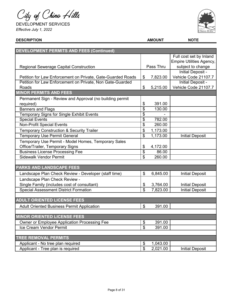City of Chino Hills

DEVELOPMENT SERVICES *Effective July 1, 2022*



| <b>DEVELOPMENT PERMITS AND FEES (Continued)</b>             |                            |           |                                 |
|-------------------------------------------------------------|----------------------------|-----------|---------------------------------|
|                                                             |                            |           | Full cost set by Inland         |
|                                                             |                            |           | <b>Empire Utilities Agency,</b> |
| <b>Regional Sewerage Capital Construction</b>               |                            | Pass Thru | subject to change               |
|                                                             |                            |           | Initial Deposit -               |
| Petition for Law Enforcement on Private, Gate-Guarded Roads | \$                         | 7,823.00  | Vehicle Code 21107.7            |
| Petition for Law Enforcement on Private, Non Gate-Guarded   |                            |           | <b>Initial Deposit -</b>        |
| Roads                                                       | \$                         | 5,215.00  | Vehicle Code 21107.7            |
| <b>MINOR PERMITS AND FEES</b>                               |                            |           |                                 |
| Permanent Sign - Review and Approval (no building permit    |                            |           |                                 |
| required)                                                   | \$                         | 391.00    |                                 |
| <b>Banners and Flags</b>                                    | \$                         | 130.00    |                                 |
| <b>Temporary Signs for Single Exhibit Events</b>            | \$                         |           |                                 |
| <b>Special Events</b>                                       | \$                         | 782.00    |                                 |
| <b>Non-Profit Special Events</b>                            | \$                         | 260.00    |                                 |
| <b>Temporary Construction &amp; Security Trailer</b>        | $\boldsymbol{\theta}$      | 1,173.00  |                                 |
| <b>Temporary Use Permit General</b>                         | \$                         | 1,173.00  | <b>Initial Deposit</b>          |
| Temporary Use Permit - Model Homes, Temporary Sales         |                            |           |                                 |
| Office/Trailer, Temporary Signs                             | \$                         | 4,172.00  |                                 |
| <b>Business License Processing Fee</b>                      | \$                         | 86.00     |                                 |
| <b>Sidewalk Vendor Permit</b>                               | \$                         | 260.00    |                                 |
|                                                             |                            |           |                                 |
| PARKS AND LANDSCAPE FEES                                    |                            |           |                                 |
| Landscape Plan Check Review - Developer (staff time)        | $\mathfrak{S}$             | 6,845.00  | <b>Initial Deposit</b>          |
| Landscape Plan Check Review -                               |                            |           |                                 |
| Single Family (includes cost of consultant)                 | \$                         | 3,764.00  | <b>Initial Deposit</b>          |
| <b>Special Assessment District Formation</b>                | $\overline{\mathcal{S}}$   | 7,823.00  | <b>Initial Deposit</b>          |
|                                                             |                            |           |                                 |
| <b>ADULT ORIENTED LICENSE FEES</b>                          |                            |           |                                 |
| <b>Adult Oriented Business Permit Application</b>           | \$                         | 391.00    |                                 |
|                                                             |                            |           |                                 |
| <b>MINOR ORIENTED LICENSE FEES</b>                          |                            |           |                                 |
| <b>Owner or Employee Application Processing Fee</b>         | \$                         | 391.00    |                                 |
| Ice Cream Vendor Permit                                     | \$                         | 391.00    |                                 |
|                                                             |                            |           |                                 |
| <b>TREE REMOVAL PERMITS</b>                                 |                            |           |                                 |
| Applicant - No tree plan required                           | \$                         | 1,043.00  |                                 |
| Applicant - Tree plan is required                           | $\boldsymbol{\mathsf{\$}}$ | 2,021.00  | <b>Initial Deposit</b>          |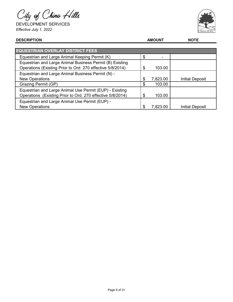City of Chino Hills

DEVELOPMENT SERVICES *Effective July 1, 2022*



| <b>EQUESTRIAN OVERLAY DISTRICT FEES</b>                                                                                |     |          |                        |
|------------------------------------------------------------------------------------------------------------------------|-----|----------|------------------------|
| Equestrian and Large Animal Keeping Permit (K)                                                                         |     |          |                        |
| Equestrian and Large Animal Business Permit (B) Existing<br>Operations (Existing Prior to Ord. 270 effective 5/8/2014) | S   | 103.00   |                        |
| Equestrian and Large Animal Business Permit (N) -                                                                      |     |          |                        |
| <b>New Operations</b>                                                                                                  | \$. | 7,823.00 | <b>Initial Deposit</b> |
| <b>Grazing Permit (GP)</b>                                                                                             |     | 103.00   |                        |
| Equestrian and Large Animal Use Permit (EUP) - Existing                                                                |     |          |                        |
| Operations (Existing Prior to Ord. 270 effective 5/8/2014)                                                             | S   | 103.00   |                        |
| Equestrian and Large Animal Use Permit (EUP) -                                                                         |     |          |                        |
| <b>New Operations</b>                                                                                                  | \$  | 7,823.00 | <b>Initial Deposit</b> |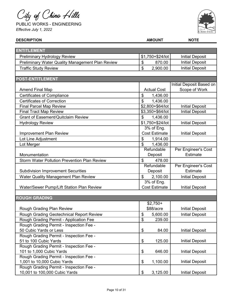City of Chino Hills

PUBLIC WORKS - ENGINEERING *Effective July 1, 2022*



| <b>ENTITLEMENT</b><br>\$1,750+\$24/lot<br><b>Initial Deposit</b><br><b>Preliminary Hydrology Review</b><br><b>Initial Deposit</b><br>Preliminary Water Quality Management Plan Review<br>\$<br>870.00<br><b>Initial Deposit</b><br>\$<br>2,900.00<br><b>Traffic Study Review</b><br><b>POST-ENTITLEMENT</b><br>Initial Deposit Based on<br><b>Actual Cost</b><br>Scope of Work<br><b>Amend Final Map</b><br>\$<br><b>Certificates of Compliance</b><br>1,436.00<br>$\mathfrak{P}$<br><b>Certificates of Correction</b><br>1,436.00<br>\$2,800+\$64/lot<br><b>Final Parcel Map Review</b><br><b>Initial Deposit</b><br><b>Initial Deposit</b><br>\$3,350+\$64/lot<br><b>Final Tract Map Review</b><br><b>Grant of Easement/Quitclaim Review</b><br>\$<br>1,436.00<br>\$1,750+\$24/lot<br><b>Initial Deposit</b><br><b>Hydrology Review</b><br>3% of Eng.<br><b>Cost Estimate</b><br><b>Improvement Plan Review</b><br><b>Initial Deposit</b><br>Lot Line Adjustment<br>\$<br>1,914.00<br>$\mathfrak{L}$<br>1,436.00<br>Lot Merger<br>Refundable<br>Per Engineer's Cost<br><b>Estimate</b><br>Deposit<br>Monumentation<br><b>Storm Water Pollution Prevention Plan Review</b><br>$\boldsymbol{\mathsf{S}}$<br>478.00<br>Refundable<br>Per Engineer's Cost |
|---------------------------------------------------------------------------------------------------------------------------------------------------------------------------------------------------------------------------------------------------------------------------------------------------------------------------------------------------------------------------------------------------------------------------------------------------------------------------------------------------------------------------------------------------------------------------------------------------------------------------------------------------------------------------------------------------------------------------------------------------------------------------------------------------------------------------------------------------------------------------------------------------------------------------------------------------------------------------------------------------------------------------------------------------------------------------------------------------------------------------------------------------------------------------------------------------------------------------------------------------------|
|                                                                                                                                                                                                                                                                                                                                                                                                                                                                                                                                                                                                                                                                                                                                                                                                                                                                                                                                                                                                                                                                                                                                                                                                                                                         |
|                                                                                                                                                                                                                                                                                                                                                                                                                                                                                                                                                                                                                                                                                                                                                                                                                                                                                                                                                                                                                                                                                                                                                                                                                                                         |
|                                                                                                                                                                                                                                                                                                                                                                                                                                                                                                                                                                                                                                                                                                                                                                                                                                                                                                                                                                                                                                                                                                                                                                                                                                                         |
|                                                                                                                                                                                                                                                                                                                                                                                                                                                                                                                                                                                                                                                                                                                                                                                                                                                                                                                                                                                                                                                                                                                                                                                                                                                         |
|                                                                                                                                                                                                                                                                                                                                                                                                                                                                                                                                                                                                                                                                                                                                                                                                                                                                                                                                                                                                                                                                                                                                                                                                                                                         |
|                                                                                                                                                                                                                                                                                                                                                                                                                                                                                                                                                                                                                                                                                                                                                                                                                                                                                                                                                                                                                                                                                                                                                                                                                                                         |
|                                                                                                                                                                                                                                                                                                                                                                                                                                                                                                                                                                                                                                                                                                                                                                                                                                                                                                                                                                                                                                                                                                                                                                                                                                                         |
|                                                                                                                                                                                                                                                                                                                                                                                                                                                                                                                                                                                                                                                                                                                                                                                                                                                                                                                                                                                                                                                                                                                                                                                                                                                         |
|                                                                                                                                                                                                                                                                                                                                                                                                                                                                                                                                                                                                                                                                                                                                                                                                                                                                                                                                                                                                                                                                                                                                                                                                                                                         |
|                                                                                                                                                                                                                                                                                                                                                                                                                                                                                                                                                                                                                                                                                                                                                                                                                                                                                                                                                                                                                                                                                                                                                                                                                                                         |
|                                                                                                                                                                                                                                                                                                                                                                                                                                                                                                                                                                                                                                                                                                                                                                                                                                                                                                                                                                                                                                                                                                                                                                                                                                                         |
|                                                                                                                                                                                                                                                                                                                                                                                                                                                                                                                                                                                                                                                                                                                                                                                                                                                                                                                                                                                                                                                                                                                                                                                                                                                         |
|                                                                                                                                                                                                                                                                                                                                                                                                                                                                                                                                                                                                                                                                                                                                                                                                                                                                                                                                                                                                                                                                                                                                                                                                                                                         |
|                                                                                                                                                                                                                                                                                                                                                                                                                                                                                                                                                                                                                                                                                                                                                                                                                                                                                                                                                                                                                                                                                                                                                                                                                                                         |
|                                                                                                                                                                                                                                                                                                                                                                                                                                                                                                                                                                                                                                                                                                                                                                                                                                                                                                                                                                                                                                                                                                                                                                                                                                                         |
|                                                                                                                                                                                                                                                                                                                                                                                                                                                                                                                                                                                                                                                                                                                                                                                                                                                                                                                                                                                                                                                                                                                                                                                                                                                         |
|                                                                                                                                                                                                                                                                                                                                                                                                                                                                                                                                                                                                                                                                                                                                                                                                                                                                                                                                                                                                                                                                                                                                                                                                                                                         |
|                                                                                                                                                                                                                                                                                                                                                                                                                                                                                                                                                                                                                                                                                                                                                                                                                                                                                                                                                                                                                                                                                                                                                                                                                                                         |
|                                                                                                                                                                                                                                                                                                                                                                                                                                                                                                                                                                                                                                                                                                                                                                                                                                                                                                                                                                                                                                                                                                                                                                                                                                                         |
|                                                                                                                                                                                                                                                                                                                                                                                                                                                                                                                                                                                                                                                                                                                                                                                                                                                                                                                                                                                                                                                                                                                                                                                                                                                         |
|                                                                                                                                                                                                                                                                                                                                                                                                                                                                                                                                                                                                                                                                                                                                                                                                                                                                                                                                                                                                                                                                                                                                                                                                                                                         |
|                                                                                                                                                                                                                                                                                                                                                                                                                                                                                                                                                                                                                                                                                                                                                                                                                                                                                                                                                                                                                                                                                                                                                                                                                                                         |
|                                                                                                                                                                                                                                                                                                                                                                                                                                                                                                                                                                                                                                                                                                                                                                                                                                                                                                                                                                                                                                                                                                                                                                                                                                                         |
| <b>Estimate</b><br><b>Subdivision Improvement Securities</b><br>Deposit                                                                                                                                                                                                                                                                                                                                                                                                                                                                                                                                                                                                                                                                                                                                                                                                                                                                                                                                                                                                                                                                                                                                                                                 |
| \$<br><b>Water Quality Management Plan Review</b><br>2,100.00<br><b>Initial Deposit</b>                                                                                                                                                                                                                                                                                                                                                                                                                                                                                                                                                                                                                                                                                                                                                                                                                                                                                                                                                                                                                                                                                                                                                                 |
| 3% of Eng.                                                                                                                                                                                                                                                                                                                                                                                                                                                                                                                                                                                                                                                                                                                                                                                                                                                                                                                                                                                                                                                                                                                                                                                                                                              |
| Water/Sewer Pump/Lift Station Plan Review<br><b>Cost Estimate</b><br><b>Initial Deposit</b>                                                                                                                                                                                                                                                                                                                                                                                                                                                                                                                                                                                                                                                                                                                                                                                                                                                                                                                                                                                                                                                                                                                                                             |
|                                                                                                                                                                                                                                                                                                                                                                                                                                                                                                                                                                                                                                                                                                                                                                                                                                                                                                                                                                                                                                                                                                                                                                                                                                                         |
| <b>ROUGH GRADING</b>                                                                                                                                                                                                                                                                                                                                                                                                                                                                                                                                                                                                                                                                                                                                                                                                                                                                                                                                                                                                                                                                                                                                                                                                                                    |
| $$2,750+$                                                                                                                                                                                                                                                                                                                                                                                                                                                                                                                                                                                                                                                                                                                                                                                                                                                                                                                                                                                                                                                                                                                                                                                                                                               |
| \$88/acre<br><b>Initial Deposit</b><br>Rough Grading Plan Review                                                                                                                                                                                                                                                                                                                                                                                                                                                                                                                                                                                                                                                                                                                                                                                                                                                                                                                                                                                                                                                                                                                                                                                        |
| Rough Grading Geotechnical Report Review<br>\$<br>5,600.00<br><b>Initial Deposit</b>                                                                                                                                                                                                                                                                                                                                                                                                                                                                                                                                                                                                                                                                                                                                                                                                                                                                                                                                                                                                                                                                                                                                                                    |
| Rough Grading Permit - Application Fee<br>\$<br>239.00                                                                                                                                                                                                                                                                                                                                                                                                                                                                                                                                                                                                                                                                                                                                                                                                                                                                                                                                                                                                                                                                                                                                                                                                  |
| Rough Grading Permit - Inspection Fee -                                                                                                                                                                                                                                                                                                                                                                                                                                                                                                                                                                                                                                                                                                                                                                                                                                                                                                                                                                                                                                                                                                                                                                                                                 |
| 50 Cubic Yards or Less<br>\$<br><b>Initial Deposit</b><br>84.00                                                                                                                                                                                                                                                                                                                                                                                                                                                                                                                                                                                                                                                                                                                                                                                                                                                                                                                                                                                                                                                                                                                                                                                         |
| Rough Grading Permit - Inspection Fee -                                                                                                                                                                                                                                                                                                                                                                                                                                                                                                                                                                                                                                                                                                                                                                                                                                                                                                                                                                                                                                                                                                                                                                                                                 |
| 51 to 100 Cubic Yards<br>\$<br>125.00<br><b>Initial Deposit</b>                                                                                                                                                                                                                                                                                                                                                                                                                                                                                                                                                                                                                                                                                                                                                                                                                                                                                                                                                                                                                                                                                                                                                                                         |
| Rough Grading Permit - Inspection Fee -                                                                                                                                                                                                                                                                                                                                                                                                                                                                                                                                                                                                                                                                                                                                                                                                                                                                                                                                                                                                                                                                                                                                                                                                                 |
| 101 to 1,000 Cubic Yards<br><b>Initial Deposit</b><br>\$<br>646.00<br>Rough Grading Permit - Inspection Fee -                                                                                                                                                                                                                                                                                                                                                                                                                                                                                                                                                                                                                                                                                                                                                                                                                                                                                                                                                                                                                                                                                                                                           |
| <b>Initial Deposit</b><br>1,001 to 10,000 Cubic Yards<br>\$<br>1,100.00                                                                                                                                                                                                                                                                                                                                                                                                                                                                                                                                                                                                                                                                                                                                                                                                                                                                                                                                                                                                                                                                                                                                                                                 |
| Rough Grading Permit - Inspection Fee -                                                                                                                                                                                                                                                                                                                                                                                                                                                                                                                                                                                                                                                                                                                                                                                                                                                                                                                                                                                                                                                                                                                                                                                                                 |
| 10,001 to 100,000 Cubic Yards<br>\$<br>3,125.00<br><b>Initial Deposit</b>                                                                                                                                                                                                                                                                                                                                                                                                                                                                                                                                                                                                                                                                                                                                                                                                                                                                                                                                                                                                                                                                                                                                                                               |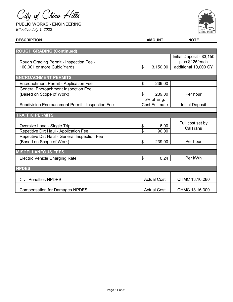City of Chino Hills

PUBLIC WORKS - ENGINEERING *Effective July 1, 2022*



| <b>DESCRIPTION</b>                                      |                | <b>AMOUNT</b>        | <b>NOTE</b>                                  |  |
|---------------------------------------------------------|----------------|----------------------|----------------------------------------------|--|
|                                                         |                |                      |                                              |  |
| <b>ROUGH GRADING (Continued)</b>                        |                |                      |                                              |  |
| Rough Grading Permit - Inspection Fee -                 |                |                      | Initial Deposit - \$3,150<br>plus \$125/each |  |
| 100,001 or more Cubic Yards                             | \$             | 3,150.00             | additional 10,000 CY                         |  |
|                                                         |                |                      |                                              |  |
| <b>ENCROACHMENT PERMITS</b>                             |                |                      |                                              |  |
| <b>Encroachment Permit - Application Fee</b>            | \$             | 239.00               |                                              |  |
| <b>General Encroachment Inspection Fee</b>              |                |                      |                                              |  |
| (Based on Scope of Work)                                | \$             | 239.00               | Per hour                                     |  |
|                                                         |                | 5% of Eng.           |                                              |  |
| <b>Subdivision Encroachment Permit - Inspection Fee</b> |                | <b>Cost Estimate</b> | <b>Initial Deposit</b>                       |  |
|                                                         |                |                      |                                              |  |
| <b>TRAFFIC PERMITS</b>                                  |                |                      |                                              |  |
| Oversize Load - Single Trip                             | \$             | 16.00                | Full cost set by                             |  |
| Repetitive Dirt Haul - Application Fee                  | \$             | 90.00                | CalTrans                                     |  |
| Repetitive Dirt Haul - General Inspection Fee           |                |                      |                                              |  |
| (Based on Scope of Work)                                | \$             | 239.00               | Per hour                                     |  |
|                                                         |                |                      |                                              |  |
| <b>MISCELLANEOUS FEES</b>                               |                |                      |                                              |  |
| <b>Electric Vehicle Charging Rate</b>                   | $\mathfrak{L}$ | 0.24                 | Per kWh                                      |  |
|                                                         |                |                      |                                              |  |
| <b>NPDES</b>                                            |                |                      |                                              |  |
| <b>Civil Penalties NPDES</b>                            |                | <b>Actual Cost</b>   | CHMC 13.16.280                               |  |
| <b>Compensation for Damages NPDES</b>                   |                | <b>Actual Cost</b>   | CHMC 13.16.300                               |  |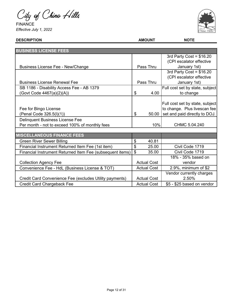City of Chino Hills

FINANCE *Effective July 1, 2022*



| <b>BUSINESS LICENSE FEES</b>                              |                    |                                 |
|-----------------------------------------------------------|--------------------|---------------------------------|
|                                                           |                    | 3rd Party Cost = $$16.20$       |
|                                                           |                    | (CPI escalator effective        |
| Business License Fee - New/Change                         | Pass Thru          | January 1st)                    |
|                                                           |                    | 3rd Party Cost = $$16.20$       |
|                                                           |                    | (CPI escalator effective        |
| <b>Business License Renewal Fee</b>                       | Pass Thru          | January 1st)                    |
| SB 1186 - Disability Access Fee - AB 1379                 |                    | Full cost set by state, subject |
| (Govt Code 4467(a)(2)(A))                                 | \$<br>4.00         | to change                       |
|                                                           |                    |                                 |
|                                                           |                    | Full cost set by state, subject |
| Fee for Bingo License                                     |                    | to change. Plus livescan fee    |
| (Penal Code 326.5(I)(1))                                  | \$<br>50.00        | set and paid directly to DOJ.   |
| <b>Delinquent Business License Fee</b>                    |                    |                                 |
| Per month - not to exceed 100% of monthly fees            | 10%                | CHMC 5.04.240                   |
|                                                           |                    |                                 |
| <b>MISCELLANEOUS FINANCE FEES</b>                         |                    |                                 |
| <b>Green River Sewer Billing</b>                          | \$<br>40.81        |                                 |
| Financial Instrument Returned Item Fee (1st item)         | \$<br>25.00        | Civil Code 1719                 |
| Financial Instrument Returned Item Fee (subsequent items) | \$<br>35.00        | Civil Code 1719                 |
|                                                           |                    | 18% - 35% based on              |
| <b>Collection Agency Fee</b>                              | <b>Actual Cost</b> | vendor                          |
| Convenience Fee - HdL (Business License & TOT)            | <b>Actual Cost</b> | 2.9%, minimum of $$2$           |
|                                                           |                    | Vendor currently charges        |
| Credit Card Convenience Fee (excludes Utility payments)   | <b>Actual Cost</b> | 2.50%                           |
| <b>Credit Card Chargeback Fee</b>                         | <b>Actual Cost</b> | \$5 - \$25 based on vendor      |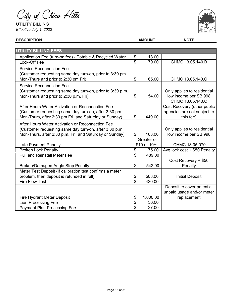City of Chino Hills

UTILITY BILLING *Effective July 1, 2022*



| <b>UTILITY BILLING FEES</b>                               |                          |             |                              |
|-----------------------------------------------------------|--------------------------|-------------|------------------------------|
| Application Fee (turn-on fee) - Potable & Recycled Water  | \$                       | 18.00       |                              |
| Lock-Off Fee                                              | \$                       | 79.00       | CHMC 13.05.140.B             |
| <b>Service Reconnection Fee</b>                           |                          |             |                              |
| (Customer requesting same day turn-on, prior to 3:30 pm   |                          |             |                              |
| Mon-Thurs and prior to 2:30 pm Fri)                       | \$                       | 65.00       | CHMC 13.05.140.C             |
| <b>Service Reconnection Fee</b>                           |                          |             |                              |
| (Customer requesting same day turn-on, prior to 3:30 p.m. |                          |             | Only applies to residential  |
| Mon-Thurs and prior to 2:30 p.m. Fri)                     | \$                       | 54.00       | low income per SB 998        |
|                                                           |                          |             | CHMC 13.05.140.C             |
| After Hours Water Activation or Reconnection Fee          |                          |             | Cost Recovery (other public  |
| (Customer requesting same day turn-on, after 3:30 pm      |                          |             | agencies are not subject to  |
| Mon-Thurs, after 2:30 pm Fri, and Saturday or Sunday)     | \$                       | 449.00      | this fee)                    |
| After Hours Water Activation or Reconnection Fee          |                          |             |                              |
| (Customer requesting same day turn-on, after 3:30 p.m.    |                          |             | Only applies to residential  |
| Mon-Thurs, after 2:30 p.m. Fri, and Saturday or Sunday)   | \$                       | 163.00      | low income per SB 998        |
|                                                           |                          | Greater of  |                              |
| Late Payment Penalty                                      |                          | \$10 or 10% | CHMC 13.05.070               |
| <b>Broken Lock Penalty</b>                                | \$                       | 75.00       | Avg lock cost + \$50 Penalty |
| <b>Pull and Reinstall Meter Fee</b>                       | \$                       | 489.00      |                              |
|                                                           |                          |             | Cost Recovery + \$50         |
| <b>Broken/Damaged Angle Stop Penalty</b>                  | \$                       | 542.00      | Penalty                      |
| Meter Test Deposit (If calibration test confirms a meter  |                          |             |                              |
| problem, then deposit is refunded in full)                | \$                       | 503.00      | <b>Initial Deposit</b>       |
| <b>Fire Flow Test</b>                                     | $\overline{\mathcal{S}}$ | 430.00      |                              |
|                                                           |                          |             | Deposit to cover potential   |
|                                                           |                          |             | unpaid usage and/or meter    |
| <b>Fire Hydrant Meter Deposit</b>                         | \$                       | 1,000.00    | replacement                  |
| <b>Lien Processing Fee</b>                                | \$                       | 36.00       |                              |
| <b>Payment Plan Processing Fee</b>                        | \$                       | 27.00       |                              |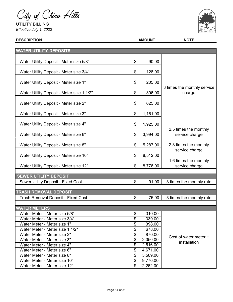City of Chino Hills

UTILITY BILLING *Effective July 1, 2022*



| <b>DESCRIPTION</b>                        | <b>AMOUNT</b>   | <b>NOTE</b>                             |
|-------------------------------------------|-----------------|-----------------------------------------|
|                                           |                 |                                         |
| <b>WATER UTILITY DEPOSITS</b>             |                 |                                         |
| Water Utility Deposit - Meter size 5/8"   | \$<br>90.00     |                                         |
| Water Utility Deposit - Meter size 3/4"   | \$<br>128.00    |                                         |
| Water Utility Deposit - Meter size 1"     | \$<br>205.00    | 3 times the monthly service             |
| Water Utility Deposit - Meter size 1 1/2" | \$<br>396.00    | charge                                  |
| Water Utility Deposit - Meter size 2"     | \$<br>625.00    |                                         |
| Water Utility Deposit - Meter size 3"     | \$<br>1,161.00  |                                         |
| Water Utility Deposit - Meter size 4"     | \$<br>1,925.00  |                                         |
| Water Utility Deposit - Meter size 6"     | \$<br>3,994.00  | 2.5 times the monthly<br>service charge |
| Water Utility Deposit - Meter size 8"     | \$<br>5,287.00  | 2.3 times the monthly                   |
| Water Utility Deposit - Meter size 10"    | \$<br>8,512.00  | service charge                          |
| Water Utility Deposit - Meter size 12"    | \$<br>8,776.00  | 1.6 times the monthly<br>service charge |
| <b>SEWER UTILITY DEPOSIT</b>              |                 |                                         |
| Sewer Utility Deposit - Fixed Cost        | \$<br>91.00     | 3 times the monthly rate                |
| <b>TRASH REMOVAL DEPOSIT</b>              |                 |                                         |
| Trash Removal Deposit - Fixed Cost        | \$<br>75.00     | 3 times the monthly rate                |
| <b>WATER METERS</b>                       |                 |                                         |
| Water Meter - Meter size 5/8"             | \$<br>310.00    |                                         |
| Water Meter - Meter size 3/4"             | \$<br>339.00    |                                         |
| Water Meter - Meter size 1"               | \$<br>398.00    |                                         |
| Water Meter - Meter size 1 1/2"           | \$<br>678.00    |                                         |
| Water Meter - Meter size 2"               | \$<br>870.00    | Cost of water meter +                   |
| Water Meter - Meter size 3"               | \$<br>2,050.00  | installation                            |
| Water Meter - Meter size 4"               | \$<br>2,616.00  |                                         |
| Water Meter - Meter size 6"               | \$<br>4,671.00  |                                         |
| Water Meter - Meter size 8"               | \$<br>5,509.00  |                                         |
| Water Meter - Meter size 10"              | \$<br>9,770.00  |                                         |
| Water Meter - Meter size 12"              | \$<br>12,262.00 |                                         |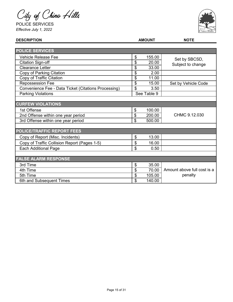City of Chino Hills

POLICE SERVICES *Effective July 1, 2022*



| <b>DESCRIPTION</b>                                   |                          | <b>AMOUNT</b> | <b>NOTE</b>                 |
|------------------------------------------------------|--------------------------|---------------|-----------------------------|
|                                                      |                          |               |                             |
| <b>POLICE SERVICES</b>                               |                          |               |                             |
| <b>Vehicle Release Fee</b>                           | \$                       | 155.00        | Set by SBCSD,               |
| <b>Citation Sign-off</b>                             | \$                       | 20.00         | Subject to change           |
| <b>Clearance Letter</b>                              | \$                       | 33.00         |                             |
| Copy of Parking Citation                             | \$                       | 2.00          |                             |
| Copy of Traffic Citation                             | \$                       | 11.00         |                             |
| <b>Repossession Fee</b>                              | \$                       | 15.00         | Set by Vehicle Code         |
| Convenience Fee - Data Ticket (Citations Processing) | \$                       | 3.50          |                             |
| <b>Parking Violations</b>                            |                          | See Table 9   |                             |
|                                                      |                          |               |                             |
| <b>CURFEW VIOLATIONS</b>                             |                          |               |                             |
| 1st Offense                                          | \$                       | 100.00        |                             |
| 2nd Offense within one year period                   | \$                       | 200.00        | CHMC 9.12.030               |
| 3rd Offense within one year period                   | \$                       | 500.00        |                             |
|                                                      |                          |               |                             |
| <b>POLICE/TRAFFIC REPORT FEES</b>                    |                          |               |                             |
| Copy of Report (Misc. Incidents)                     | \$                       | 13.00         |                             |
| Copy of Traffic Collision Report (Pages 1-5)         | \$                       | 16.00         |                             |
| <b>Each Additional Page</b>                          | \$                       | 0.50          |                             |
|                                                      |                          |               |                             |
| <b>FALSE ALARM RESPONSE</b>                          |                          |               |                             |
| 3rd Time                                             | \$                       | 35.00         |                             |
| 4th Time                                             | $\overline{\mathcal{E}}$ | 70.00         | Amount above full cost is a |
| 5th Time                                             | \$                       | 105.00        | penalty                     |
| 6th and Subsequent Times                             | \$                       | 140.00        |                             |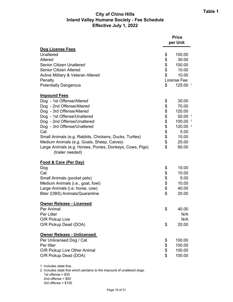# **City of Chino Hills Inland Valley Humane Society - Fee Schedule Effective July 1, 2022**

|                                                                              |                | <b>Price</b><br>per Unit |
|------------------------------------------------------------------------------|----------------|--------------------------|
| <b>Dog License Fees</b>                                                      |                |                          |
| Unaltered                                                                    | \$             | 100.00                   |
| Altered                                                                      | \$             | 30.00                    |
| <b>Senior Citizen Unaltered</b>                                              | \$<br>\$       | 100.00                   |
| <b>Senior Citizen Altered</b>                                                |                | 10.00                    |
| <b>Active Military &amp; Veteran Altered</b>                                 | \$             | 10.00                    |
| Penalty                                                                      |                | License Fee              |
| <b>Potentially Dangerous</b>                                                 | \$             | 125.00                   |
| <b>Impound Fees</b>                                                          |                |                          |
| Dog - 1st Offense/Altered                                                    | \$             | 30.00                    |
| Dog - 2nd Offense/Altered                                                    | \$\$\$\$\$\$\$ | 70.00                    |
| Dog - 3rd Offense/Altered                                                    |                | 120.00                   |
| Dog - 1st Offense/Unaltered                                                  |                | 50.00 <sup>2</sup>       |
| Dog - 2nd Offense/Unaltered                                                  |                | 100.00                   |
| Dog - 3rd Offense/Unaltered                                                  |                | 120.00 $^2$              |
| Cat                                                                          |                | 5.00                     |
| Small Animals (e.g. Rabbits, Chickens, Ducks, Turtles)                       | \$             | 15.00                    |
| Medium Animals (e.g. Goats, Sheep, Calves)                                   | \$             | 25.00                    |
| Large Animals (e.g. Horses, Ponies, Donkeys, Cows, Pigs)<br>(trailer needed) | \$             | 60.00                    |
| <b>Food &amp; Care (Per Day)</b>                                             |                |                          |
| Dog                                                                          | \$             | 10.00                    |
| Cat                                                                          |                | 10.00                    |
| Small Animals (pocket pets)                                                  |                | 5.00                     |
| Medium Animals (i.e., goat, fowl)                                            |                | 10.00                    |
| Large Animals (i.e. horse, cow)                                              | \$\$\$\$\$     | 40.00                    |
| Biter (OBS) Animals/Quarantine                                               |                | 20.00                    |
| <b>Owner Release - Licensed</b>                                              |                |                          |
| Per Animal                                                                   | \$             | 40.00                    |
| Per Litter                                                                   |                | N/A                      |
| O/R Pickup Live                                                              |                | N/A                      |
| O/R Pickup Dead (DOA)                                                        | \$             | 20.00                    |
| Owner Release - Unlicensed                                                   |                |                          |
| Per Unlicensed Dog / Cat                                                     | \$             | 100.00                   |
| Per litter                                                                   | \$             | 100.00                   |
| O/R Pickup Live Other Animal                                                 | \$             | 100.00                   |
| O/R Pickup Dead (DOA)                                                        | \$             | 100.00                   |
|                                                                              |                |                          |

1. Includes state fine.

2. Includes state fine which pertains to the impound of unaltered dogs.

1st offense = \$35

2nd offense = \$50

3rd offense = \$100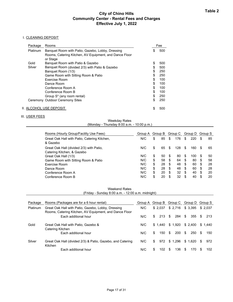## **City of Chino Hills Community Center - Rental Fees and Charges Effective July 1, 2022**

#### I. CLEANING DEPOSIT

| Package                 | Rooms                                                                                                                  |    | Fee |
|-------------------------|------------------------------------------------------------------------------------------------------------------------|----|-----|
| Platinum                | Banquet Room with Patio, Gazebo, Lobby, Dressing<br>Rooms, Catering Kitchen, AV Equipment, and Dance Floor<br>or Stage | \$ | 500 |
| Gold                    | Banquet Room with Patio & Gazebo                                                                                       | \$ | 500 |
| Silver                  | Banquet Room (divided 2/3) with Patio & Gazebo                                                                         | \$ | 500 |
|                         | Banquet Room (1/3)                                                                                                     | \$ | 250 |
|                         | Game Room with Sitting Room & Patio                                                                                    | \$ | 250 |
|                         | <b>Exercise Room</b>                                                                                                   | \$ | 100 |
|                         | Dance Room                                                                                                             | \$ | 100 |
|                         | Conference Room A                                                                                                      | \$ | 100 |
|                         | Conference Room B                                                                                                      | \$ | 100 |
|                         | Group S <sup>*</sup> (any room rental)                                                                                 | \$ | 250 |
|                         | Ceremony Outdoor Ceremony Sites                                                                                        | \$ | 250 |
| II. ALCOHOL USE DEPOSIT |                                                                                                                        | S  | 500 |

## III. USER FEES

(Monday - Thursday 8:00 a.m. - 10:00 p.m.) Weekday Rates

| Rooms (Hourly Group/Facility Use Fees)                                 | Group A Group B Group C Group D Group S |          |     |     |     |     |    |    |
|------------------------------------------------------------------------|-----------------------------------------|----------|-----|-----|-----|-----|----|----|
| Great Oak Hall with Patio, Catering Kitchen,<br>& Gazebo               | N/C                                     | \$<br>85 | S   | 176 | S   | 220 | S  | 85 |
| Great Oak Hall (divided 2/3) with Patio,<br>Catering Kitchen, & Gazebo | N/C                                     | \$<br>65 | S.  | 128 | S   | 160 | S  | 65 |
| Great Oak Hall (1/3)                                                   | N/C                                     | \$<br>50 | -S  | 80  | S   | 100 | S  | 50 |
| Game Room with Sitting Room & Patio                                    | N/C                                     | \$<br>58 | \$  | 64  | -S  | 80  | \$ | 58 |
| <b>Exercise Room</b>                                                   | N/C                                     | \$<br>28 | \$. | 48  | -S  | 60  | \$ | 28 |
| Dance Room                                                             | N/C                                     | \$<br>28 | \$. | 48  | \$  | 60  | S  | 28 |
| Conference Room A                                                      | N/C                                     | \$<br>20 | \$. | 32  | \$  | 40  | -S | 20 |
| Conference Room B                                                      | N/C                                     | \$<br>20 | £.  | 32  | \$. | 40  | \$ | 20 |

#### Weekend Rates (Friday - Sunday 8:00 a.m. - 12:00 a.m. midnight)

| Package         | Rooms (Packages are for a 6 hour rental)                                                                     | Group A | Group B    |           | Group C Group D | Group S    |
|-----------------|--------------------------------------------------------------------------------------------------------------|---------|------------|-----------|-----------------|------------|
| <b>Platinum</b> | Great Oak Hall with Patio, Gazebo, Lobby, Dressing<br>Rooms, Catering Kitchen, AV Equipment, and Dance Floor | N/C     | \$2.037    | \$2,716   | \$3,395         | \$ 2.037   |
|                 | Each additional hour                                                                                         | N/C     | 213<br>\$. | 284<br>S. | \$<br>355       | 213<br>\$. |
| Gold            | Great Oak Hall with Patio, Gazebo &<br>Catering Kitchen                                                      | N/C     | \$1.440    | \$1,920   | \$2,400         | \$1.440    |
|                 | Fach additional hour                                                                                         | N/C     | 150<br>\$. | 200<br>\$ | \$<br>250       | S.<br>150  |
| Silver          | Great Oak Hall (divided 2/3) & Patio, Gazebo, and Catering<br>Kitchen                                        | N/C     | 972<br>\$. | \$1.296   | \$1.620         | 972<br>S.  |
|                 | Fach additional hour                                                                                         | N/C     | 102<br>S   | 136<br>\$ | \$<br>170       | 102        |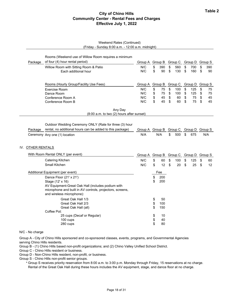# **Table 2 City of Chino Hills Community Center - Rental Fees and Charges Effective July 1, 2022**

|                   | Weekend Rates (Continued)<br>(Friday - Sunday 8:00 a.m. - 12:00 a.m. midnight)                                                                                                                                                                                                                                                      |                          |                                              |                                                  |                      |                                 |                      |                        |                      |                      |
|-------------------|-------------------------------------------------------------------------------------------------------------------------------------------------------------------------------------------------------------------------------------------------------------------------------------------------------------------------------------|--------------------------|----------------------------------------------|--------------------------------------------------|----------------------|---------------------------------|----------------------|------------------------|----------------------|----------------------|
|                   | Rooms (Weekend use of Willow Room requires a minimum                                                                                                                                                                                                                                                                                |                          |                                              |                                                  |                      |                                 |                      |                        |                      |                      |
| Package           | of four (4) hour rental period)                                                                                                                                                                                                                                                                                                     | Group A                  |                                              |                                                  |                      | Group B Group C Group D Group S |                      |                        |                      |                      |
|                   | Willow Room with Sitting Room & Patio<br>Each additional hour                                                                                                                                                                                                                                                                       | N/C<br>N/C               | \$<br>\$                                     | 390<br>90                                        | \$<br>\$             | 560<br>130                      | \$<br>\$             | 700<br>160             | \$<br>\$             | 390<br>90            |
|                   | Rooms (Hourly Group/Facility Use Fees)                                                                                                                                                                                                                                                                                              | Group A                  |                                              | Group B Group C                                  |                      |                                 |                      | Group D Group S        |                      |                      |
|                   | Exercise Room<br>Dance Room<br>Conference Room A<br>Conference Room B                                                                                                                                                                                                                                                               | N/C<br>N/C<br>N/C<br>N/C | \$<br>\$<br>\$<br>\$                         | 75<br>75<br>45<br>45                             | \$<br>\$<br>\$<br>\$ | 100<br>100<br>60<br>60          | \$<br>\$<br>\$<br>\$ | 125<br>125<br>75<br>75 | \$<br>\$<br>\$<br>\$ | 75<br>75<br>45<br>45 |
|                   | Any Day<br>(8:00 a.m. to two (2) hours after sunset)                                                                                                                                                                                                                                                                                |                          |                                              |                                                  |                      |                                 |                      |                        |                      |                      |
| Package           | Outdoor Wedding Ceremony ONLY (Rate for three (3) hour<br>rental, no additional hours can be added to this package)                                                                                                                                                                                                                 | Group A Group B          |                                              |                                                  |                      | Group C                         |                      | Group D Group S        |                      |                      |
|                   | Ceremony Any one (1) location                                                                                                                                                                                                                                                                                                       | N/A                      |                                              | N/A                                              | \$                   | 500                             | \$                   | 675                    |                      | N/A                  |
| IV. OTHER RENTALS |                                                                                                                                                                                                                                                                                                                                     |                          |                                              |                                                  |                      |                                 |                      |                        |                      |                      |
|                   | With Room Rental ONLY (per event)                                                                                                                                                                                                                                                                                                   | Group A                  |                                              | Group B                                          |                      | Group C                         |                      | Group D                |                      | Group S              |
|                   | Catering Kitchen                                                                                                                                                                                                                                                                                                                    | N/C                      | \$                                           | 60                                               | \$                   | 100                             | \$                   | 125                    | \$                   | 60                   |
|                   | Small Kitchen                                                                                                                                                                                                                                                                                                                       | N/C                      | \$                                           | 12                                               | \$                   | 20                              | \$                   | 25                     | \$                   | 12                   |
|                   | Additional Equipment (per event)                                                                                                                                                                                                                                                                                                    |                          |                                              | Fee                                              |                      |                                 |                      |                        |                      |                      |
|                   | Dance Floor (21' x 21')<br>Stage (12' x 16)<br>AV Equipment-Great Oak Hall (includes podium with<br>microphone and built in AV controls, projectors, screens,<br>and wireless microphone):<br>Great Oak Hall 1/3<br>Great Oak Hall 2/3<br>Great Oak Hall (all)<br>Coffee Pot:<br>25 cups (Decaf or Regular)<br>100 cups<br>280 cups |                          | \$<br>\$<br>\$<br>\$<br>\$<br>\$<br>\$<br>\$ | 200<br>200<br>50<br>100<br>150<br>10<br>40<br>80 |                      |                                 |                      |                        |                      |                      |
| N/C - No charge   |                                                                                                                                                                                                                                                                                                                                     |                          |                                              |                                                  |                      |                                 |                      |                        |                      |                      |

Group A - City of Chino Hills sponsored and co-sponsored classes, events, programs, and Governmental Agencies serving Chino Hills residents.

Group B - (1) Chino Hills based non-profit organizations; and (2) Chino Valley Unified School District.

Group C - Chino Hills resident or business.

Group D - Non-Chino Hills resident, non-profit, or business.

Group S - Chino Hills non-profit senior groups.

\* Group S receives priority reservation from 8:00 a.m. to 3:00 p.m. Monday through Friday, 15 reservations at no charge. Rental of the Great Oak Hall during these hours includes the AV equipment, stage, and dance floor at no charge.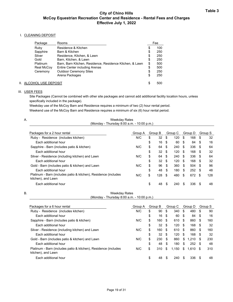## **City of Chino Hills McCoy Equestrian Recreation Center and Residence - Rental Fees and Charges Effective July 1, 2022**

#### I. CLEANING DEPOSIT

| Package                 | Rooms                                                    |    | Fee |
|-------------------------|----------------------------------------------------------|----|-----|
| Ruby                    | Residence & Kitchen                                      | \$ | 100 |
| Sapphire                | Barn & Kitchen                                           | \$ | 250 |
| Silver                  | Residence, Kitchen, & Lawn                               | \$ | 250 |
| Gold                    | Barn, Kitchen, & Lawn                                    | \$ | 250 |
| <b>Platinum</b>         | Barn, Barn Kitchen, Residence, Residence Kitchen, & Lawn | \$ | 500 |
| Real McCoy              | Entire Center including Arenas                           | \$ | 500 |
| Ceremony                | <b>Outdoor Ceremony Sites</b>                            | \$ | 250 |
|                         | Arena Packages                                           | \$ | 250 |
| II. ALCOHOL USE DEPOSIT |                                                          | S  | 500 |

## III. USER FEES

Site Packages (Cannot be combined with other site packages and cannot add additional facility location hours, unless specifically included in the package).

Weekday use of the McCoy Barn and Residence requires a minimum of two (2) hour rental period. Weekend use of the McCoy Barn and Residence requires a minimum of six (6) hour rental period.

| <b>Weekday Rates</b>                       |  |
|--------------------------------------------|--|
| (Monday - Thursday 8:00 a.m. - 10:00 p.m.) |  |

| Packages for a 2 hour rental                                                          | Group A | Group B |     | Group C |     | Group D |     | Group S |     |
|---------------------------------------------------------------------------------------|---------|---------|-----|---------|-----|---------|-----|---------|-----|
| Ruby - Residence (includes kitchen)                                                   | N/C     | \$      | 32  | -\$     | 120 | \$      | 168 | S       | 32  |
| Each additional hour                                                                  |         | \$      | 16  | -\$     | 60  | \$      | 84  | -\$     | 16  |
| Sapphire - Barn (includes patio & kitchen)                                            | N/C     | \$      | 64  | -\$     | 240 | \$      | 336 | -S      | 64  |
| Each additional hour                                                                  |         | \$      | 32  | - \$    | 120 | \$      | 168 | \$.     | 32  |
| Silver - Residence (including kitchen) and Lawn                                       | N/C     | \$      | 64  | -\$     | 240 | \$      | 336 | -S      | 64  |
| Fach additional hour                                                                  |         | \$      | 32  | -\$     | 120 | \$      | 168 | \$.     | 32  |
| Gold - Barn (includes patio & kitchen) and Lawn                                       | N/C     | \$      | 96  | -\$     | 360 | -S      | 504 | \$.     | 96  |
| Fach additional hour                                                                  |         | \$      | 48  | -\$     | 180 | \$      | 252 | - \$    | 48  |
| Platinum - Barn (includes patio & kitchen), Residence (includes<br>kitchen), and Lawn | N/C     | \$      | 128 | - \$    | 480 | \$      | 672 | \$.     | 128 |
| Each additional hour                                                                  |         | \$      | 48  | S       | 240 | \$.     | 336 | \$.     | 48  |

#### B.

Weekday Rates (Monday - Thursday 8:00 a.m. - 10:00 p.m.)

| Packages for a 6 hour rental                                                          | Group A |    | Group B |      | Group C |      | Group D | Group S |     |
|---------------------------------------------------------------------------------------|---------|----|---------|------|---------|------|---------|---------|-----|
| Ruby - Residence (includes kitchen)                                                   | N/C     | \$ | 90      | \$   | 340     | \$   | 480     | S       | 90  |
| Fach additional hour                                                                  |         | \$ | 16      | \$   | 60      | -\$  | 84      | \$      | 16  |
| Sapphire - Barn (includes patio & kitchen)                                            | N/C     | S  | 160     | - \$ | 610     | - \$ | 860     | \$.     | 160 |
| Fach additional hour                                                                  |         | \$ | 32      | -\$  | 120     | -S   | 168     | \$.     | 32  |
| Silver - Residence (including kitchen) and Lawn                                       | N/C     | \$ | 160     | - \$ | 610     | - \$ | 860     | \$.     | 160 |
| Fach additional hour                                                                  |         | \$ | 32      | -\$  | 120     | \$   | 168     | \$      | 32  |
| Gold - Barn (includes patio & kitchen) and Lawn                                       | N/C     | \$ | 230     | -\$  | 860     | \$   | 1.210   | S       | 230 |
| Each additional hour                                                                  |         | \$ | 48      | \$   | 180     | \$   | 252     | \$.     | 48  |
| Platinum - Barn (includes patio & kitchen), Residence (includes<br>kitchen), and Lawn | N/C     | \$ | 310     | \$   | 1,150   | \$   | 1,610   | S       | 310 |
| Each additional hour                                                                  |         | \$ | 48      | S    | 240     | \$.  | 336     | S       | 48  |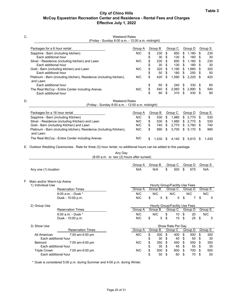# **Table 3 City of Chino Hills McCoy Equestrian Recreation Center and Residence - Rental Fees and Charges Effective July 1, 2022**

| C. | <b>Weekend Rates</b><br>(Friday - Sunday 8:00 a.m. - 12:00 a.m. midnight)       |         |         |         |         |         |         |         |     |         |
|----|---------------------------------------------------------------------------------|---------|---------|---------|---------|---------|---------|---------|-----|---------|
|    | Packages for a 6 hour rental                                                    | Group A | Group B |         | Group C |         | Group D |         |     | Group S |
|    | Sapphire - Barn (including kitchen)                                             | N/C     | \$      | 230     | \$      | 850     | \$      | 1,180   | \$  | 230     |
|    | Each additional hour                                                            |         | \$      | 30      | \$      | 130     | \$      | 180     | S   | 30      |
|    | Silver - Residence (including kitchen) and Lawn                                 | N/C     | \$      | 230     | \$      | 850     | \$      | 1,180   |     | 230     |
|    | Each additional hour                                                            |         | \$      | 30      | \$      | 130     | S       | 180     | S   | 30      |
|    | Gold - Barn (including kitchen) and Lawn                                        | N/C     | \$      | 320     | S       | 1,190   | S       | 1,660   |     | 320     |
|    | Each additional hour                                                            |         | \$      | 50      | \$      | 180     | \$      | 250     |     | 50      |
|    | Platinum - Barn (including kitchen), Residence (including kitchen),<br>and Lawn | N/C     | \$      | 420     | \$      | 1,590   | \$      | 2,220   | \$  | 420     |
|    | Each additional hour                                                            |         | \$      | 60      | \$      | 240     | \$      | 330     | \$. | 60      |
|    | The Real McCoy - Entire Center including Arenas                                 | N/C     | \$      | 540     | S.      | 2,060   | \$      | 2,890   |     | 540     |
|    | Each additional hour                                                            |         | \$      | 80      | \$      | 310     | \$      | 430     |     | 80      |
| D. | <b>Weekend Rates</b>                                                            |         |         |         |         |         |         |         |     |         |
|    | (Friday - Sunday 8:00 a.m. - 12:00 a.m. midnight)                               |         |         |         |         |         |         |         |     |         |
|    | Packages for a 16 hour rental                                                   | Group A |         | Group B |         | Group C |         | Group D |     | Group S |
|    | Sannhire - Rarn (including Kitchen)                                             | N/C     | ¢       | 530     | ¢       | 1.080   | ¢       | 2.770   | ¢   | らっか     |

| Fackayes ior a To Hour Tental                                                   | OIVUV A | GIUUD D |      | GIUUD U  | GIUUD D     | oluuu o |
|---------------------------------------------------------------------------------|---------|---------|------|----------|-------------|---------|
| Sapphire - Barn (including Kitchen)                                             | N/C     | 530     | - \$ | 1.980    | \$ 2,770 \$ | 530     |
| Silver - Residence (including Kitchen) and Lawn                                 | N/C     | 530     | - \$ | 1.980    | \$ 2.770 \$ | 530     |
| Gold - Barn (including Kitchen) and Lawn                                        | N/C     | 740     |      | \$ 2.770 | \$ 3.780 \$ | 740     |
| Platinum - Barn (including kitchen), Residence (including Kitchen),<br>and Lawn | N/C     | 990     |      | \$ 3.700 | \$ 5.170 \$ | 990     |
| The Real McCoy - Entire Center including Arenas                                 | N/C     | 1.430   | - \$ | 4,140 \$ | $5,610$ \$  | 1.430   |

E. Outdoor Wedding Ceremonies. Rate for three (3) hour rental, no additional hours can be added to this package.

|    |                           |                                             | Any Day<br>$(8:00 a.m. to two (2) hours after sunset)$ |            |                |                                           |    |          |                |
|----|---------------------------|---------------------------------------------|--------------------------------------------------------|------------|----------------|-------------------------------------------|----|----------|----------------|
|    |                           |                                             |                                                        | Group A    | Group B        | Group C                                   |    | Group D  | Group S        |
|    | Any one (1) location      |                                             |                                                        | N/A        | N/A            | \$<br>500                                 | \$ | 675      | N/A            |
| F. | Main and/or Warm-Up Arena |                                             |                                                        |            |                |                                           |    |          |                |
|    | 1) Individual Use         | <b>Reservation Times</b>                    |                                                        |            | Group B        | Hourly Group/Facility Use Fees<br>Group C |    |          |                |
|    |                           |                                             |                                                        | Group A    |                |                                           |    | Group D  | Group S        |
|    |                           | $6:00$ a.m. - Dusk $*$<br>Dusk - 10:00 p.m. |                                                        | N/C<br>N/C | \$<br>N/C<br>5 | \$<br>N/C<br>5                            | \$ | N/C<br>7 | \$<br>N/C<br>5 |
|    | 2) Group Use              |                                             |                                                        |            |                | Hourly Group/Facility Use Fees            |    |          |                |
|    |                           | <b>Reservation Times</b>                    |                                                        | Group A    | Group B        | Group C                                   |    | Group D  | Group S        |
|    |                           | 6:00 a.m. - Dusk *                          |                                                        | N/C        | N/C            | \$<br>10 <sup>°</sup>                     | \$ | 20       | N/C            |
|    |                           | Dusk - 10:00 p.m.                           |                                                        | N/C        | \$<br>5        | \$<br>15                                  | \$ | 25       | \$<br>5        |
|    | 3) Show Use               |                                             |                                                        |            |                | Show Rate Per Day                         |    |          |                |
|    |                           | <b>Reservation Times</b>                    |                                                        | Group A    | Group B        | Group C                                   |    | Group D  | Group S        |
|    | All American              | 7:00 am-5:00 pm                             |                                                        | N/C        | \$<br>300      | \$<br>400                                 | \$ | 500      | \$<br>300      |
|    |                           | Each additional hour                        |                                                        |            | \$<br>30       | \$<br>40                                  | \$ | 50       | \$<br>30       |
|    | Belmont                   | 7:00 am-5:00 pm                             |                                                        | N/C        | \$<br>350      | \$<br>450                                 | \$ | 550      | \$<br>350      |
|    |                           | Each additional hour                        |                                                        |            | \$<br>35       | \$<br>45                                  | \$ | 55       | \$<br>35       |
|    | <b>Triple Crown</b>       | 7:00 am-5:00 pm                             |                                                        | N/C        | \$<br>500      | \$<br>600                                 | S  | 700      | 500            |
|    |                           | Each additional hour                        |                                                        |            | \$<br>50       | \$<br>60                                  | \$ | 70       | \$<br>50       |

\* Dusk is considered 5:00 p.m. during Summer and 4:00 p.m. during Winter.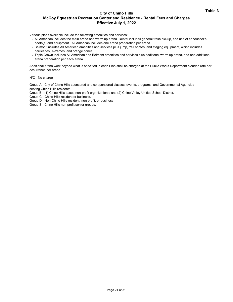# **Table 3 City of Chino Hills McCoy Equestrian Recreation Center and Residence - Rental Fees and Charges Effective July 1, 2022**

Various plans available include the following amenities and services:

- **-** All American includes the main arena and warm up arena. Rental includes general trash pickup, and use of announcer's booth(s) and equipment. All American includes one arena preparation per arena.
- **-** Belmont includes All American amenities and services plus jump, trail horses, and staging equipment, which includes barricades, A-frames, and orange cones.
- **-** Triple Crown includes All American and Belmont amenities and services plus additional warm up arena, and one additional arena preparation per each arena.

Additional arena work beyond what is specified in each Plan shall be charged at the Public Works Department blended rate per occurrence per arena.

N/C - No charge

Group A - City of Chino Hills sponsored and co-sponsored classes, events, programs, and Governmental Agencies serving Chino Hills residents.

Group B - (1) Chino Hills based non-profit organizations; and (2) Chino Valley Unified School District.

- Group C Chino Hills resident or business.
- Group D Non-Chino Hills resident, non-profit, or business.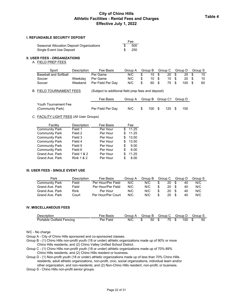## **City of Chino Hills Athletic Facilities - Rental Fees and Charges Effective July 1, 2022**

#### **I. REFUNDABLE SECURITY DEPOSIT**

|                                           | ree. |
|-------------------------------------------|------|
| Seasonal Allocation Deposit Organizations | -500 |
| Single Event Use Deposit                  | -250 |

#### **II. USER FEES - ORGANIZATIONS**

#### A. FIELD PREP FEES

| Sport                 | Description | Fee Basis         | Group A | Group B  |              | Group C | Group D | Group S |
|-----------------------|-------------|-------------------|---------|----------|--------------|---------|---------|---------|
| Baseball and Softball |             | Per Game          | N/C     | 15 \$    |              | 20 \$   | 25 \$   | 15      |
| Soccer                | Weekday     | Per Game          | N/C     | 10 \$    |              | 15 \$   | 20 \$   | 10      |
| Soccer                | Weekend     | Per Field Per Dav | N/C     | \$<br>60 | $\mathbf{s}$ | 75 \$   | 100S    | 60      |

 $F_{22}$ 

#### B. FIELD TOURNAMENT FEES (Subject to additional field prep fees and deposit)

|                      | Fee Basis         |  | Group A Group B Group C1 Group D |     |
|----------------------|-------------------|--|----------------------------------|-----|
| Youth Tournament Fee |                   |  |                                  |     |
| (Community Park)     | Per Field Per Dav |  | N/C \$ 100 \$ 125 \$             | 150 |

#### C. FACILITY LIGHT FEES (All User Groups)

| Facility              | Description            | Fee Basis |   | Fee   |
|-----------------------|------------------------|-----------|---|-------|
| <b>Community Park</b> | Field 1                | Per Hour  | S | 11.25 |
| <b>Community Park</b> | Field 2                | Per Hour  | S | 11.25 |
| <b>Community Park</b> | Field 3                | Per Hour  | S | 13.00 |
| <b>Community Park</b> | Field 4                | Per Hour  | S | 13.50 |
| <b>Community Park</b> | Field 5                | Per Hour  | S | 9.00  |
| <b>Community Park</b> | Field 6                | Per Hour  | S | 8.00  |
| Grand Ave, Park       | <b>Field 1 &amp; 2</b> | Per Hour  | S | 11.25 |
| Grand Ave, Park       | <b>Rink 1 &amp; 2</b>  | Per Hour  | S | 8.00  |

#### **III. USER FEES - SINGLE EVENT USE**

| Park                  | Description | Fee Basis          | Group A | Group B | Group C |    |     | Group D | Group S |
|-----------------------|-------------|--------------------|---------|---------|---------|----|-----|---------|---------|
| <b>Community Park</b> | Field       | Per Hour/Per Field | N/C     | N/C     |         | 20 | S.  | 40      | N/C     |
| Grand Ave, Park       | Field       | Per Hour/Per Field | N/C     | N/C     |         | 20 | -SS | 40      | N/C     |
| Grand Ave, Park       | Rink        | Per Hour           | N/C     | N/C     |         | 20 |     | 40      | N/C     |
| Grand Ave, Park       | Court       | Per Hour/Per Court | N/C     | N/C     |         | 20 |     | 40      | N/C     |

#### **IV. MISCELLANEOUS FEES**

| <b>Description</b>        | Fee Basis |     |              | Group A Group B Group C Group D Group S |    |
|---------------------------|-----------|-----|--------------|-----------------------------------------|----|
| Portable Outfield Fencing | Per Field | N/C | $\mathbb{S}$ | 50 \$75 \$100 \$                        | 50 |

N/C - No charge

Group A - City of Chino Hills sponsored and co-sponsored classes.

Group B - (1) Chino Hills non-profit youth (18 or under) athletic organizations made up of 90% or more Chino Hills residents; and (2) Chino Valley Unified School District.

Group C - (1) Chino Hills non-profit youth (18 or under) athletic organizations made up of 70%-89% Chino Hills residents; and (2) Chino Hills resident or business.

Group D - (1) Non-profit youth (18 or under) athletic organizations made up of less than 70% Chino Hills residents, adult athletic organizations, non-profit, civic, social organizations, individual team and/or other organization, and non-residents; and (2) Non-Chino Hills resident, non-profit, or business.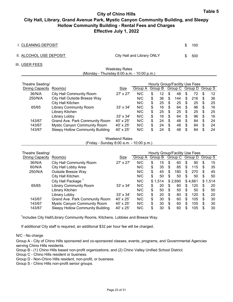## **Table 5 City of Chino Hills City Hall, Library, Grand Avenue Park, Mystic Canyon Community Building, and Sleepy Hollow Community Building - Rental Fees and Charges Effective July 1, 2022**

| I. CLEANING DEPOSIT     |                            | \$. | 100 |
|-------------------------|----------------------------|-----|-----|
| II. ALCOHOL USE DEPOSIT | City Hall and Library ONLY | \$. | 500 |
| III. USER FEES          |                            |     |     |

| <b>Weekday Rates</b>                       |  |
|--------------------------------------------|--|
| (Monday - Thursday 8:00 a.m. - 10:00 p.m.) |  |

| Theatre Seating/ | Hourly Group/Facility Use Fees      |                  |         |    |         |    |                         |     |     |   |    |
|------------------|-------------------------------------|------------------|---------|----|---------|----|-------------------------|-----|-----|---|----|
| Dining Capacity  | Room(s)                             | Size             | Group A |    | Group B |    | Group C Group D Group S |     |     |   |    |
| 36/N/A           | <b>City Hall Community Room</b>     | 27' x 27'        | N/C     | S  | 12      | S  | 48                      | S   | 72  | S | 12 |
| 250/N/A          | City Hall Outside Breeze Way        |                  | N/C     | \$ | 36      | S  | 144                     | S   | 216 | S | 36 |
|                  | City Hall Kitchen                   |                  | N/C     | S  | 25      | S  | 25                      | S   | 25  | S | 25 |
| 65/65            | <b>Library Community Room</b>       | $33' \times 34'$ | N/C     | \$ | 16      | S  | 64                      | S   | 96  | S | 16 |
|                  | Library Kitchen                     |                  | N/C     | \$ | 25      | S  | 25                      | S   | 25  | S | 25 |
|                  | Library Lobby                       | $33' \times 34'$ | N/C     | \$ | 16      | S  | 64                      | S   | 96  | S | 16 |
| 143/67           | Grand Ave. Park Community Room      | $40' \times 25'$ | N/C     | \$ | 24      | \$ | 48                      | S   | 84  | S | 24 |
| 143/67           | <b>Mystic Canyon Community Room</b> | $40' \times 25'$ | N/C     | \$ | 24      | \$ | 48                      | \$. | 84  | S | 24 |
| 143/67           | Sleepy Hollow Community Building    | $40' \times 25'$ | N/C     | \$ | 24      | \$ | 48                      |     | 84  |   | 24 |

Weekend Rates (Friday - Sunday 8:00 a.m. - 10:00 p.m.)

| Theatre Seating/ |                                         |                  |         | Hourly Group/Facility Use Fees |         |    |         |     |         |    |         |  |  |
|------------------|-----------------------------------------|------------------|---------|--------------------------------|---------|----|---------|-----|---------|----|---------|--|--|
| Dining Capacity  | Room(s)                                 | Size             | Group A |                                | Group B |    | Group C |     | Group D |    | Group S |  |  |
| 36/N/A           | <b>City Hall Community Room</b>         | 27' x 27'        | N/C     | \$                             | 15      | \$ | 60      | \$  | 90      | S  | 15      |  |  |
| 60/N/A           | City Hall Lobby Area                    |                  | N/C     | \$                             | 35      | S  | 85      | \$  | 115     | S  | 35      |  |  |
| 250/N/A          | Outside Breeze Way                      |                  | N/C     | \$                             | 45      | \$ | 180     | \$  | 270     | S  | 45      |  |  |
|                  | City Hall Kitchen                       |                  | N/C     | \$                             | 50      | S  | 50      | S   | 50      | S  | 50      |  |  |
|                  | City Hall Package                       |                  | N/C     |                                | \$1,514 |    | \$2,690 |     | \$4.661 | \$ | 1,514   |  |  |
| 65/65            | <b>Library Community Room</b>           | $33' \times 34'$ | N/C     | \$                             | 20      | S  | 80      | \$. | 120     | \$ | 20      |  |  |
|                  | Library Kitchen                         |                  | N/C     | \$                             | 50      | \$ | 50      | \$  | 50      | S  | 50      |  |  |
|                  | Library Lobby                           | $33' \times 34'$ | N/C     | \$                             | 20      | \$ | 80      | \$  | 120     | \$ | 20      |  |  |
| 143/67           | Grand Ave. Park Community Room          | $40' \times 25'$ | N/C     | \$                             | 30      | \$ | 60      | \$. | 105     | \$ | 30      |  |  |
| 143/67           | Mystic Canyon Community Room            | 40' x 25'        | N/C     | \$                             | 30      | S  | 60      | \$. | 105     | \$ | 30      |  |  |
| 143/67           | <b>Sleepy Hollow Community Building</b> | 40' x 25'        | N/C     | \$                             | 30      | \$ | 60      | \$. | 105     | \$ | 30      |  |  |

<sup>1</sup>Includes City Hall/Library Community Rooms, Kitchens, Lobbies and Breeze Way.

If additional City staff is required, an additional \$32 per hour fee will be charged.

## N/C - No charge

Group A - City of Chino Hills sponsored and co-sponsored classes, events, programs, and Governmental Agencies serving Chino Hills residents.

Group B - (1) Chino Hills based non-profit organizations; and (2) Chino Valley Unified School District.

Group C - Chino Hills resident or business.

Group D - Non-Chino Hills resident, non-profit, or business.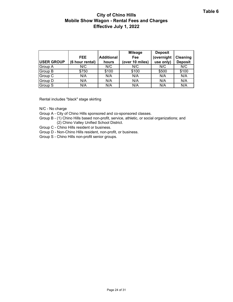# **City of Chino Hills Mobile Show Wagon - Rental Fees and Charges Effective July 1, 2022**

| <b>USER GROUP</b> | FEE.<br>(6 hour rental) | <b>Additional</b><br>hours | <b>Mileage</b><br>Fee<br>(over 10 miles) | <b>Deposit</b><br>(overnight<br>use only) | Cleaning<br><b>Deposit</b> |
|-------------------|-------------------------|----------------------------|------------------------------------------|-------------------------------------------|----------------------------|
| Group A           | N/C                     | N/C                        | N/C                                      | N/C                                       | N/C                        |
| <b>Group B</b>    | \$750                   | \$100                      | \$100                                    | \$500                                     | \$100                      |
| Group C           | N/A                     | N/A                        | N/A                                      | N/A                                       | N/A                        |
| Group D           | N/A                     | N/A                        | N/A                                      | N/A                                       | N/A                        |
| Group S           | N/A                     | N/A                        | N/A                                      | N/A                                       | N/A                        |

Rental includes "black" stage skirting

N/C - No charge

Group A - City of Chino Hills sponsored and co-sponsored classes.

Group B - (1) Chino Hills based non-profit, service, athletic, or social organizations; and (2) Chino Valley Unified School District.

Group C - Chino Hills resident or business.

Group D - Non-Chino Hills resident, non-profit, or business.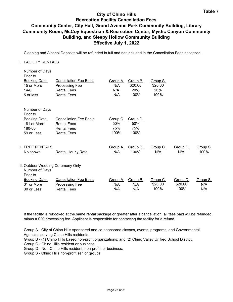## **Table 7 City of Chino Hills Recreation Facility Cancellation Fees Community Center, City Hall, Grand Avenue Park Community Building, Library Community Room, McCoy Equestrian & Recreation Center, Mystic Canyon Community Building, and Sleepy Hollow Community Building Effective July 1, 2022**

Cleaning and Alcohol Deposits will be refunded in full and not included in the Cancellation Fees assessed.

## I. FACILITY RENTALS

| Number of Days<br>Prior to<br><b>Booking Date</b><br>15 or More<br>$14-6$ | <b>Cancellation Fee Basis</b><br>Processing Fee<br><b>Rental Fees</b>     | Group A<br>N/A<br>N/A | Group B<br>\$20.00<br>20% | Group S<br>\$20.00<br>20%  |                            |                       |
|---------------------------------------------------------------------------|---------------------------------------------------------------------------|-----------------------|---------------------------|----------------------------|----------------------------|-----------------------|
| 5 or less                                                                 | <b>Rental Fees</b>                                                        | N/A                   | 100%                      | 100%                       |                            |                       |
| Number of Days<br>Prior to                                                |                                                                           |                       |                           |                            |                            |                       |
| <b>Booking Date</b><br>181 or More<br>180-60                              | <b>Cancellation Fee Basis</b><br><b>Rental Fees</b><br><b>Rental Fees</b> | Group C<br>50%<br>75% | Group D<br>50%<br>75%     |                            |                            |                       |
| 59 or Less                                                                | <b>Rental Fees</b>                                                        | 100%                  | 100%                      |                            |                            |                       |
| II. FREE RENTALS<br>No shows                                              | <b>Rental Hourly Rate</b>                                                 | Group A<br>N/A        | Group B<br>100%           | Group C<br>N/A             | Group D<br>N/A             | Group S<br>100%       |
| III. Outdoor Wedding Ceremony Only<br>Number of Days<br>Prior to          |                                                                           |                       |                           |                            |                            |                       |
| <b>Booking Date</b><br>31 or More<br>30 or Less                           | <b>Cancellation Fee Basis</b><br>Processing Fee<br><b>Rental Fees</b>     | Group A<br>N/A<br>N/A | Group B<br>N/A<br>N/A     | Group C<br>\$20.00<br>100% | Group D<br>\$20.00<br>100% | Group S<br>N/A<br>N/A |
|                                                                           |                                                                           |                       |                           |                            |                            |                       |

If the facility is rebooked at the same rental package or greater after a cancellation, all fees paid will be refunded, minus a \$20 processing fee. Applicant is responsible for contacting the facility for a refund.

Group A - City of Chino Hills sponsored and co-sponsored classes, events, programs, and Governmental Agencies serving Chino Hills residents.

Group B - (1) Chino Hills based non-profit organizations; and (2) Chino Valley Unified School District.

Group C - Chino Hills resident or business.

Group D - Non-Chino Hills resident, non-profit, or business.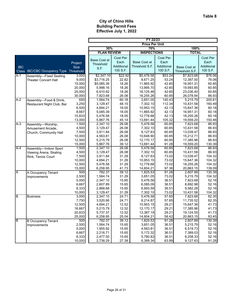T

**FY 22/23**

|            |                               |           |                     |            | LI TTITO              |            |                |                 |  |
|------------|-------------------------------|-----------|---------------------|------------|-----------------------|------------|----------------|-----------------|--|
|            |                               |           |                     |            | <b>Price Per Unit</b> |            |                |                 |  |
|            |                               |           | 30%                 |            | 70%                   |            | 100%           |                 |  |
|            |                               |           | <b>PLAN REVIEW</b>  |            | <b>INSPECTIONS</b>    |            | <b>TOTAL</b>   |                 |  |
|            |                               |           |                     | Cost Per   |                       | Cost Per   |                | Cost Per        |  |
|            |                               | Project   | <b>Base Cost at</b> | Each       | <b>Base Cost at</b>   | Each       |                | Each            |  |
| <b>IBC</b> |                               | Size      | Threshold           | Additional | Threshold S.F.        | Additional |                | Additional      |  |
|            | <b>IBC/CBC Occupancy Type</b> |           | S.F.                | 100 S.F.   |                       | 100 S.F.   | Base Cost at   | 100 S.F.        |  |
| Class      |                               | Threshold |                     |            |                       |            | Threshold S.F. |                 |  |
| A-1        | Assembly-Fixed Seating        | 3,000     | \$2,347.10          | \$22.82    | \$5,476.58            | \$53.24    | \$7,823.68     | \$76.06         |  |
|            | <b>Theater Concert Hall</b>   | 9,000     | \$3,716.25          | 22.82      | 8,671.25              | 53.24      | 12,387.50      | 76.06           |  |
|            |                               | 15,000    | \$5,085.39          | 18.26      | 11,865.92             | 42.60      | 16,951.31      | 60.85           |  |
|            |                               | 20,000    | 5,998.16            | 18.26      | 13,995.70             | 42.60      | 19,993.85      | 60.85           |  |
|            |                               | 25,000    | 6,910.92            | 18.26      | 16,125.48             | 42.60      | 23,036.40      | 60.85           |  |
|            |                               | 30,000    | 7,823.68            | 26.08      | 18,255.26             | 60.85      | 26,078.94      | 86.93           |  |
| $A-2$      | Assembly-Food & Drink,        | 650       | 1,564.74            | 60.18      | 3,651.05              | 140.43     | 5,215.79       | 200.61          |  |
|            | Restaurant Night Club, Bar    | 3,250     | 3,129.47            | 48.15      | 7,302.10              | 112.34     | 10,431.58      | 160.49          |  |
|            |                               | 6,500     | 4,694.21            | 18.05      | 10,953.15             | 42.13      | 15,647.36      | 60.18           |  |
|            |                               | 8,667     | 5,085.39            | 18.05      | 11,865.92             | 42.13      | 16,951.31      | 60.18           |  |
|            |                               | 10,833    | 5,476.58            | 18.05      | 12,778.68             | 42.13      | 18,255.26      | 60.18           |  |
|            |                               | 13,000    | 5,867.76            | 45.14      | 13,691.44             | 105.32     | 19,559.20      | 150.46          |  |
| $A-3$      | Assembly-Worship,             | 1,500     | 2,347.10            | 26.08      | 5,476.58              | 60.85      | 7,823.68       | 86.93           |  |
|            | Amusement Arcade,             | 4,500     | 3,129.47            | 26.08      | 7,302.10              | 60.85      | 10,431.58      | 86.93           |  |
|            | Church, Community Hall        | 7,500     | 3,911.84            | 26.08      | 9,127.63              | 60.85      | 13,039.47      | 86.93           |  |
|            |                               | 10,000    | 4,563.81            | 26.08      | 10,648.90             | 60.85      | 15,212.71      | 86.93           |  |
|            |                               | 12,500    | 5,215.79            | 26.08      | 12,170.17             | 60.85      | 17,385.96      | 86.93           |  |
|            |                               | 15,000    | 5,867.76            | 39.12      | 13,691.44             | 91.28      | 19,559.20      | 130.39          |  |
| $A-4$      | Assembly-Indoor Sport         | 1,500     | 2,347.10            | 26.08      | 5,476.58              | 60.85      | 7,823.68       | 86.93           |  |
|            | Viewing Arena, Skating        | 4,500     | 3,129.47            | 26.08      | 7,302.10              | 60.85      | 10,431.58      | 86.93           |  |
|            | Rink, Tennis Court            | 7,500     | 3,911.84            | 31.29      | 9,127.63              | 73.02      | 13,039.47      | 104.32          |  |
|            |                               | 10,000    | 4,694.21            | 31.29      | 10,953.15             | 73.02      | 15,647.36      | 104.32          |  |
|            |                               | 12,500    | 5,476.58            | 31.29      | 12,778.68             | 73.02      | 18,255.26      | 104.32          |  |
|            |                               | 15,000    | 6,258.95            | 41.73      | 14,604.21             | 97.36      | 20,863.15      | 139.09          |  |
| Α          | A Occupancy Tenant            | 500       | 782.37              | 39.12      | 1,825.53              | 91.28      | 2,607.89       | 130.39          |  |
|            | Improvements                  | 2,500     | 1,564.74            | 31.29      | 3,651.05              | 73.02      | 5,215.79       | 104.32          |  |
|            |                               | 5,000     | 2,347.10            | 15.65      | 5,476.58              | 36.51      | 7,823.68       | 52.16           |  |
|            |                               | 6,667     | 2,607.89            | 15.65      | 6,085.09              | 36.51      | 8,692.98       | 52.16           |  |
|            |                               | 8,333     | 2,868.68            | 15.65      | 6,693.59              | 36.51      | 9,562.28       | 52.16           |  |
|            |                               | 10,000    | 3,129.47            | 31.29      | 7,302.10              | 73.02      | 10,431.58      | 104.32<br>82.35 |  |
| B          | <b>Business</b>               | 3,000     | 2,347.10            | 24.71      | 5,476.58              | 57.65      | 7,823.68       |                 |  |
|            |                               | 7,750     | 3,520.66            | 24.71      | 8,214.87              | 57.65      | 11,735.52      | 82.35           |  |
|            |                               | 12,500    | 4,694.21            | 12.52      | 10,953.15             | 29.21      | 15,647.36      | 41.73           |  |
|            |                               | 16,667    | 5,215.79            | 12.52      | 12,170.17             | 29.21      | 17,385.96      | 41.73           |  |
|            |                               | 20,833    | 5,737.37            | 12.52      | 13,387.19             | 29.21      | 19,124.55      | 41.73           |  |
|            |                               | 25,000    | 6,258.95            | 25.04      | 14,604.21             | 58.42      | 20,863.15      | 83.45           |  |
| B          | <b>B Occupancy Tenant</b>     | 500       | 782.37              | 39.12      | 1,825.53              | 91.28      | 2,607.89       | 130.39          |  |
|            | Improvements                  | 2,500     | 1,564.74            | 15.65      | 3,651.05              | 36.51      | 5,215.79       | 52.16           |  |
|            |                               | 5,000     | 1,955.92            | 15.65      | 4,563.81              | 36.51      | 6,519.73       | 52.16           |  |
|            |                               | 6,667     | 2,216.71            | 15.65      | 5,172.32              | 36.51      | 7,389.03       | 52.16           |  |
|            |                               | 8,333     | 2,477.50            | 15.65      | 5,780.83              | 36.51      | 8,258.33       | 52.16           |  |
|            |                               | 10,000    | 2,738.29            | 27.38      | 6,389.34              | 63.89      | 9,127.63       | 91.28           |  |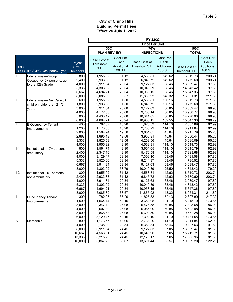|                       |                                         |                | FY 22/23             |                |                       |                 |                      |                 |  |
|-----------------------|-----------------------------------------|----------------|----------------------|----------------|-----------------------|-----------------|----------------------|-----------------|--|
|                       |                                         |                |                      |                | <b>Price Per Unit</b> |                 |                      |                 |  |
|                       |                                         |                | 30%<br>70%           |                |                       |                 | 100%                 |                 |  |
|                       |                                         |                | <b>PLAN REVIEW</b>   |                | <b>INSPECTIONS</b>    |                 | <b>TOTAL</b>         |                 |  |
|                       |                                         |                |                      | Cost Per       |                       | Cost Per        |                      | Cost Per        |  |
|                       |                                         | Project        | <b>Base Cost at</b>  | Each           | <b>Base Cost at</b>   | Each            |                      | Each            |  |
| <b>IBC</b>            |                                         | <b>Size</b>    | Threshold            | Additional     | Threshold S.F.        | Additional      | Base Cost at         | Additional      |  |
| Class                 | <b>IBC/CBC Occupancy Type Threshold</b> |                | S.F.                 | 100 S.F.       |                       | 100 S.F.        | Threshold S.F.       | 100 S.F.        |  |
|                       |                                         |                |                      |                |                       |                 |                      |                 |  |
| E                     | Educational-Group                       | 800            | 1,955.92             | 61.12          | 4,563.81              | 142.62          | 6,519.73             | 203.74          |  |
|                       | Occupancy 6+ persons, up                | 2,400          | 2,933.88             | 61.12          | 6,845.72              | 142.62          | 9,779.60             | 203.74          |  |
|                       | to the 12th Grade                       | 4,000          | 3,911.84             | 29.34          | 9,127.63              | 68.46           | 13,039.47            | 97.80           |  |
|                       |                                         | 5,333          | 4,303.02             | 29.34          | 10,040.39             | 68.46           | 14,343.42            | 97.80           |  |
|                       |                                         | 6,667          | 4,694.21             | 29.34          | 10,953.15             | 68.46           | 15,647.36            | 97.80           |  |
|                       |                                         | 8,000          | 5,085.39             | 63.57          | 11,865.92             | 148.32          | 16,951.31            | 211.89          |  |
| E                     | Educational-Day Care 5+                 | 600            | 1,955.92             | 81.50          | 4,563.81              | 190.16          | 6,519.73             | 271.66          |  |
|                       | children, older than 2 1/2              | 1,800          | 2,933.88             | 81.50          | 6,845.72              | 190.16          | 9,779.60             | 271.66          |  |
|                       | years                                   | 3,000          | 3,911.84             | 26.08          | 9,127.63              | 60.85           | 13,039.47            | 86.93           |  |
|                       |                                         | 4,000          | 4,172.63             | 26.08          | 9,736.14              | 60.85           | 13,908.77            | 86.93           |  |
|                       |                                         | 5,000<br>6,000 | 4,433.42             | 26.08          | 10,344.65             | 60.85<br>182.55 | 14,778.06            | 86.93<br>260.79 |  |
| E                     |                                         | 400            | 4,694.21<br>782.37   | 78.24<br>48.90 | 10,953.15             |                 | 15,647.36            | 162.99          |  |
|                       | E Occupancy Tenant                      |                |                      |                | 1,825.53              | 114.10          | 2,607.89             |                 |  |
|                       | Improvements                            | 1,200<br>2,000 | 1,173.55<br>1,564.74 | 48.90<br>19.56 | 2,738.29<br>3,651.05  | 114.10<br>45.64 | 3,911.84             | 162.99<br>65.20 |  |
|                       |                                         | 2,667          |                      | 19.56          | 3,955.31              | 45.64           | 5,215.79<br>5,650.44 | 65.20           |  |
|                       |                                         | 3,333          | 1,695.13<br>1,825.53 | 19.56          | 4,259.56              | 45.64           | 6,085.09             | 65.20           |  |
|                       |                                         | 4,000          | 1,955.92             | 48.90          | 4,563.81              | 114.10          | 6,519.73             | 162.99          |  |
| $I-1$                 | Institutional-17+ persons,              | 800            | 1,564.74             | 48.90          | 3,651.05              | 114.10          | 5,215.79             | 162.99          |  |
|                       |                                         | 2,400          | 2,347.10             | 48.90          | 5,476.58              | 114.10          | 7,823.68             | 162.99          |  |
|                       | ambulatory                              | 4,000          | 3,129.47             | 29.34          | 7,302.10              | 68.46           | 10,431.58            | 97.80           |  |
|                       |                                         | 5,333          | 3,520.66             | 29.34          | 8,214.87              | 68.46           | 11,735.52            | 97.80           |  |
|                       |                                         | 6,667          | 3,911.84             | 29.34          | 9,127.63              | 68.46           | 13,039.47            | 97.80           |  |
|                       |                                         | 8,000          | 4,303.02             | 53.79          | 10,040.39             | 125.50          | 14,343.42            | 179.29          |  |
| $\overline{1\cdot 2}$ | Institutional-6+ persons,               | 800            | 1,955.92             | 61.12          | 4,563.81              | 142.62          | 6,519.73             | 203.74          |  |
|                       | non-ambulatory                          | 2,400          | 2,933.88             | 61.12          | 6,845.72              | 142.62          | 9,779.60             | 203.74          |  |
|                       |                                         | 4,000          | 3,911.84             | 29.34          | 9,127.63              | 68.46           | 13,039.47            | 97.80           |  |
|                       |                                         | 5,333          | 4,303.02             | 29.34          | 10,040.39             | 68.46           | 14,343.42            | 97.80           |  |
|                       |                                         | 6,667          | 4,694.21             | 29.34          | 10,953.15             | 68.46           | 15,647.36            | 97.80           |  |
|                       |                                         | 8,000          | 5,085.39             | 63.57          | 11,865.92             | 148.32          | 16,951.31            | 211.89          |  |
|                       | Occupancy Tenant                        | 300            | 782.37               | 65.20          | 1,825.53              | 152.13          | 2,607.89             | 217.32          |  |
|                       | Improvements                            | 1,500          | 1,564.74             | 52.16          | 3,651.05              | 121.70          | 5,215.79             | 173.86          |  |
|                       |                                         | 3,000          | 2,347.10             | 26.08          | 5,476.58              | 60.85           | 7,823.68             | 86.93           |  |
|                       |                                         | 4,000          | 2,607.89             | 26.08          | 6,085.09              | 60.85           | 8,692.98             | 86.93           |  |
|                       |                                         | 5,000          | 2,868.68             | 26.08          | 6,693.59              | 60.85           | 9,562.28             | 86.93           |  |
|                       |                                         | 6,000          | 3,129.47             | 52.16          | 7,302.10              | 121.70          | 10,431.58            | 173.86          |  |
| M                     | Mercantile                              | 800            | 1,173.55             | 48.90          | 2,738.29              | 114.10          | 3,911.84             | 162.99          |  |
|                       |                                         | 4,000          | 2,738.29             | 29.34          | 6,389.34              | 68.46           | 9,127.63             | 97.80           |  |
|                       |                                         | 8,000          | 3,911.84             | 24.45          | 9,127.63              | 57.05           | 13,039.47            | 81.50           |  |
|                       |                                         | 10,667         | 4,563.81             | 24.45          | 10,648.90             | 57.05           | 15,212.71            | 81.50           |  |
|                       |                                         | 13,333         | 5,215.79             | 24.45          | 12,170.17             | 57.05           | 17,385.96            | 81.50           |  |
|                       |                                         | 16,000         | 5,867.76             | 36.67          | 13,691.44             | 85.57           | 19,559.20            | 122.25          |  |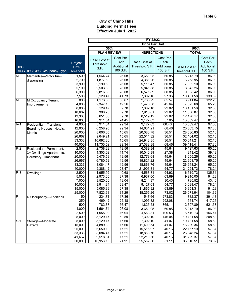|                         |                                         |             | FY 22/23            |            |                       |            |                |            |
|-------------------------|-----------------------------------------|-------------|---------------------|------------|-----------------------|------------|----------------|------------|
|                         |                                         |             |                     |            | <b>Price Per Unit</b> |            |                |            |
|                         |                                         |             | 70%<br>30%          |            |                       |            | 100%           |            |
|                         |                                         |             | <b>PLAN REVIEW</b>  |            | <b>INSPECTIONS</b>    |            | <b>TOTAL</b>   |            |
|                         |                                         |             |                     | Cost Per   |                       | Cost Per   |                | Cost Per   |
|                         |                                         | Project     | <b>Base Cost at</b> | Each       | Base Cost at          | Each       |                | Each       |
| <b>IBC</b>              |                                         | <b>Size</b> | Threshold           | Additional | Threshold S.F.        | Additional |                | Additional |
|                         | <b>IBC/CBC Occupancy Type Threshold</b> |             | S.F.                | 100 S.F.   |                       | 100 S.F.   | Base Cost at   | 100 S.F.   |
| Class                   |                                         |             |                     |            |                       |            | Threshold S.F. |            |
| M                       | Mercantile-Motor fuel-                  | 1,500       | 1,564.74            | 26.08      | 3,651.05              | 60.85      | 5,215.79       | 86.93      |
|                         | dispensing                              | 2,700       | 1,877.68            | 26.08      | 4,381.26              | 60.85      | 6,258.95       | 86.93      |
|                         |                                         | 3,900       | 2,190.63            | 26.08      | 5,111.47              | 60.85      | 7,302.10       | 86.93      |
|                         |                                         | 5,100       | 2,503.58            | 26.08      | 5,841.68              | 60.85      | 8,345.26       | 86.93      |
|                         |                                         | 6,300       | 2,816.53            | 26.08      | 6,571.89              | 60.85      | 9,388.42       | 86.93      |
|                         |                                         | 7,500       | 3,129.47            | 41.73      | 7,302.10              | 97.36      | 10,431.58      | 139.09     |
| M                       | M Occupancy Tenant                      | 800         | 1,173.55            | 36.67      | 2,738.29              | 85.57      | 3,911.84       | 122.25     |
|                         | Improvements                            | 4,000       | 2,347.10            | 19.56      | 5,476.58              | 45.64      | 7,823.68       | 65.20      |
|                         |                                         | 8,000       | 3,129.47            | 9.78       | 7,302.10              | 22.82      | 10,431.58      | 32.60      |
|                         |                                         | 10,667      | 3,390.26            | 9.78       | 7,910.61              | 22.82      | 11,300.87      | 32.60      |
|                         |                                         | 13,333      | 3,651.05            | 9.78       | 8,519.12              | 22.82      | 12,170.17      | 32.60      |
|                         |                                         | 16,000      | 3,911.84            | 24.45      | 9,127.63              | 57.05      | 13,039.47      | 81.50      |
| $R-1$                   | Residential-Transient                   | 4,000       | 3,911.84            | 29.34      | 9,127.63              | 68.46      | 13,039.47      | 97.80      |
|                         | Boarding Houses, Hotels,                | 12,000      | 6,258.95            | 29.34      | 14,604.21             | 68.46      | 20,863.15      | 97.80      |
|                         | Motels                                  | 20,000      | 8,606.05            | 15.65      | 20,080.78             | 36.51      | 28,686.83      | 52.16      |
|                         |                                         | 26,667      | 9,649.21            | 15.65      | 22,514.82             | 36.51      | 32,164.02      | 52.16      |
|                         |                                         | 33,333      | 10,692.36           | 15.65      | 24,948.85             | 36.51      | 35,641.21      | 52.16      |
|                         |                                         | 40,000      | 11,735.52           | 29.34      | 27,382.88             | 68.46      | 39,118.41      | 97.80      |
| $R-2$                   | Residential-Permanent,                  | 2,000       | 2,738.29            | 19.56      | 6,389.34              | 45.64      | 9,127.63       | 65.20      |
|                         | 3+ Dwellings Apartments,                | 10,000      | 4,303.02            | 11.74      | 10,040.39             | 27.38      | 14,343.42      | 39.12      |
|                         | Dormitory, Timeshare                    | 20,000      | 5,476.58            | 19.56      | 12,778.68             | 45.64      | 18,255.26      | 65.20      |
|                         |                                         | 26,667      | 6,780.52            | 19.56      | 15,821.22             | 45.64      | 22,601.75      | 65.20      |
|                         |                                         | 33,333      | 8,084.47            | 19.56      | 18,863.76             | 45.64      | 26,948.24      | 65.20      |
|                         |                                         | 40,000      | 9,388.42            | 23.47      | 21,906.31             | 54.77      | 31,294.73      | 78.24      |
| $R-3$                   | <b>Dwellings</b>                        | 2,500       | 1,955.92            | 40.68      | 4,563.81              | 94.93      | 6,519.73       | 135.61     |
|                         |                                         | 5,000       | 2,973.00            | 27.38      | 6,937.00              | 63.89      | 9,910.00       | 91.28      |
|                         |                                         | 7,000       | 3,520.66            | 13.04      | 8,214.87              | 30.43      | 11,735.52      | 43.46      |
|                         |                                         | 10,000      | 3,911.84            | 23.47      | 9,127.63              | 54.77      | 13,039.47      | 78.24      |
|                         |                                         | 15,000      | 5,085.39            | 27.38      | 11,865.92             | 63.89      | 16,951.31      | 91.28      |
|                         |                                         | 25,000      | 7,823.68            | 31.29      | 18,255.26             | 73.02      | 26,078.94      | 104.32     |
| $\overline{\mathsf{R}}$ | R Occupancy-Additions                   | 50          | 234.71              | 117.36     | 547.66                | 273.83     | 782.37         | 391.18     |
|                         |                                         | 250         | 469.42              | 125.18     | 1,095.32              | 292.08     | 1,564.74       | 417.26     |
|                         |                                         | 500         | 782.37              | 156.47     | 1,825.53              | 365.11     | 2,607.89       | 521.58     |
|                         |                                         | 1,000       | 1,564.74            | 26.08      | 3,651.05              | 60.85      | 5,215.79       | 86.93      |
|                         |                                         | 2,500       | 1,955.92            | 46.94      | 4,563.81              | 109.53     | 6,519.73       | 156.47     |
|                         |                                         | 5,000       | 3,129.47            | 62.59      | 7,302.10              | 146.04     | 10,431.58      | 208.63     |
| $S-1$                   | Storage-Moderate                        | 5,000       | 3,129.47            | 17.60      | 7,302.10              | 41.07      | 10,431.58      | 58.68      |
|                         | Hazard                                  | 15,000      | 4,889.80            | 17.60      | 11,409.54             | 41.07      | 16,299.34      | 58.68      |
|                         |                                         | 25,000      | 6,650.13            | 17.21      | 15,516.97             | 40.16      | 22,167.10      | 57.37      |
|                         |                                         | 33,333      | 8,084.47            | 17.21      | 18,863.76             | 40.16      | 26,948.24      | 57.37      |
|                         |                                         | 41,667      | 9,518.81            | 17.21      | 22,210.56             | 40.16      | 31,729.37      | 57.37      |
|                         |                                         | 50,000      | 10,953.15           | 21.91      | 25,557.36             | 51.11      | 36,510.51      | 73.02      |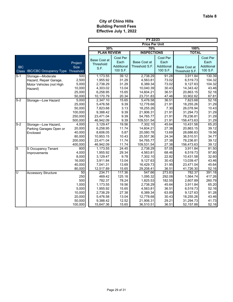|              |                               |                | FY 22/23             |                |                        |                |                        |                  |  |
|--------------|-------------------------------|----------------|----------------------|----------------|------------------------|----------------|------------------------|------------------|--|
|              |                               |                |                      |                | <b>Price Per Unit</b>  |                |                        |                  |  |
|              |                               |                | 30%<br>70%           |                |                        |                | 100%                   |                  |  |
|              |                               |                | <b>PLAN REVIEW</b>   |                | <b>INSPECTIONS</b>     |                | <b>TOTAL</b>           |                  |  |
|              |                               |                |                      | Cost Per       |                        | Cost Per       |                        | Cost Per         |  |
|              |                               | Project        | <b>Base Cost at</b>  | Each           | <b>Base Cost at</b>    | Each           |                        | Each             |  |
| <b>IBC</b>   |                               | <b>Size</b>    | Threshold            | Additional     | Threshold S.F.         | Additional     | <b>Base Cost at</b>    | Additional       |  |
| <b>Class</b> | <b>IBC/CBC Occupancy Type</b> | Threshold      | S.F.                 | 100 S.F.       |                        | 100 S.F.       | Threshold S.F.         | 100 S.F.         |  |
|              |                               |                |                      |                |                        |                |                        | 130.39           |  |
| $S-1$        | Storage-Moderate              | 500            | 1,173.55             | 39.12          | 2,738.29               | 91.28          | 3,911.84               |                  |  |
|              | Hazard, Repair Garage,        | 2,500<br>5,000 | 1,955.92             | 31.29<br>31.29 | 4,563.81<br>6,389.34   | 73.02<br>73.02 | 6,519.73<br>9,127.63   | 104.32<br>104.32 |  |
|              | Motor Vehicles (not High      | 10,000         | 2,738.29             | 13.04          |                        | 30.43          |                        | 43.46            |  |
|              | Hazard)                       | 25,000         | 4,303.02<br>6,258.95 | 15.65          | 10,040.39<br>14,604.21 | 36.51          | 14,343.42<br>20,863.15 | 52.16            |  |
|              |                               | 50,000         | 10,170.79            | 20.34          | 23,731.83              | 47.46          | 33,902.62              | 67.81            |  |
| $S-2$        | Storage-Low Hazard            | 5,000          | 2,347.10             | 15.65          | 5,476.58               | 36.51          | 7,823.68               | 52.16            |  |
|              |                               | 25,000         | 5,476.58             | 9.39           | 12,778.68              | 21.91          | 18,255.26              | 31.29            |  |
|              |                               | 50,000         | 7,823.68             | 3.13           | 18,255.26              | 7.30           | 26,078.94              | 10.43            |  |
|              |                               | 100,000        | 9,388.42             | 9.39           | 21,906.31              | 21.91          | 31,294.73              | 31.29            |  |
|              |                               | 250,000        | 23,471.04            | 9.39           | 54,765.77              | 21.91          | 78,236.81              | 31.29            |  |
|              |                               | 500,000        | 46,942.09            | 9.39           | 109,531.54             | 21.91          | 156,473.63             | 31.29            |  |
| $S-2$        | Storage-Low Hazard,           | 4,000          | 3,129.47             | 19.56          | 7,302.10               | 45.64          | 10,431.58              | 65.20            |  |
|              | Parking Garages Open or       | 20,000         | 6,258.95             | 11.74          | 14,604.21              | 27.38          | 20,863.15              | 39.12            |  |
|              | Enclosed                      | 40,000         | 8,606.05             | 5.87           | 20,080.78              | 13.69          | 28,686.83              | 19.56            |  |
|              |                               | 80,000         | 10,953.15            | 10.43          | 25,557.36              | 24.34          | 36,510.51              | 34.77            |  |
|              |                               | 200,000        | 23,471.04            | 11.74          | 54,765.77              | 27.38          | 78,236.81              | 39.12            |  |
|              |                               | 400,000        | 46,942.09            | 11.74          | 109,531.54             | 27.38          | 156,473.63             | 39.12            |  |
| S            | S Occupancy Tenant            | 800            | 1,173.55             | 24.45          | 2,738.29               | 57.05          | 3,911.84               | 81.50            |  |
|              | Improvements                  | 4,000          | 1,955.92             | 29.34          | 4,563.81               | 68.46          | 6,519.73               | 97.80            |  |
|              |                               | 8,000          | 3,129.47             | 9.78           | 7,302.10               | 22.82          | 10,431.58              | 32.60            |  |
|              |                               | 16,000         | 3,911.84             | 13.04          | 9,127.63               | 30.43          | 13,039.47              | 43.46            |  |
|              |                               | 40,000         | 7,041.31             | 13.69          | 16,429.73              | 31.95          | 23,471.04              | 45.64            |  |
|              |                               | 80,000         | 12,517.89            | 15.65          | 29,208.41              | 36.51          | 41,726.30              | 52.16            |  |
| Ū            | <b>Accessory Structure</b>    | 50             | 234.71               | 117.36         | 547.66                 | 273.83         | 782.37                 | 391.18           |  |
|              |                               | 250            | 469.42               | 125.18         | 1,095.32               | 292.08         | 1,564.74               | 417.26           |  |
|              |                               | 500            | 782.37               | 78.24          | 1,825.53               | 182.55         | 2,607.89               | 260.79           |  |
|              |                               | 1,000          | 1,173.55             | 19.56          | 2,738.29               | 45.64          | 3,911.84               | 65.20            |  |
|              |                               | 5,000          | 1,955.92             | 15.65          | 4,563.81               | 36.51          | 6,519.73               | 52.16            |  |
|              |                               | 10,000         | 2,738.29             | 27.38          | 6,389.34               | 63.89          | 9,127.63               | 91.28            |  |
|              |                               | 20,000         | 5,476.58             | 13.04          | 12,778.68              | 30.43          | 18,255.26              | 43.46            |  |
|              |                               | 50,000         | 9,388.42             | 12.52          | 21,906.31              | 29.21          | 31,294.73              | 41.73            |  |
|              |                               | 100,000        | 15,647.36            | 15.65          | 36,510.51              | 36.51          | 52,157.88              | 52.16            |  |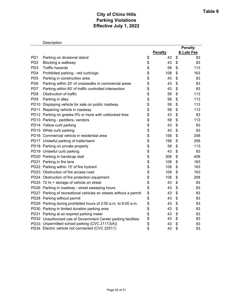# **City of Chino Hills Parking Violations Effective July 1, 2022**

| Description |  |
|-------------|--|
|             |  |

|                 |                                                                   |    |                | <b>Penalty</b> |
|-----------------|-------------------------------------------------------------------|----|----------------|----------------|
|                 |                                                                   |    | <b>Penalty</b> | & Late Fee     |
| PD <sub>1</sub> | Parking on divisional island                                      | \$ | 43             | \$<br>83       |
| PD <sub>2</sub> | Blocking a walkway                                                | \$ | 43             | \$<br>83       |
| PD <sub>3</sub> | <b>Traffic hazards</b>                                            | \$ | 58             | \$<br>113      |
| PD <sub>4</sub> | Prohibited parking - red curb/sign                                | \$ | 108            | \$<br>163      |
| PD <sub>5</sub> | Parking in construction area                                      | \$ | 43             | \$<br>83       |
| PD <sub>6</sub> | Parking within 20' of crosswalks in commercial areas              | \$ | 43             | \$<br>83       |
| PD7             | Parking within 60' of traffic controlled intersection             | \$ | 43             | \$<br>83       |
| PD <sub>8</sub> | Obstruction of traffic                                            | \$ | 58             | \$<br>113      |
| PD <sub>9</sub> | Parking in alley                                                  | \$ | 58             | \$<br>113      |
|                 | PD10 Displaying vehicle for sale on public roadway                | \$ | 58             | \$<br>113      |
|                 | PD11 Repairing vehicle in roadway                                 | \$ | 58             | \$<br>113      |
|                 | PD12 Parking on grades 5% or more with unblocked tires            | \$ | 43             | \$<br>83       |
|                 | PD13 Parking - peddlers, vendors                                  | \$ | 58             | \$<br>113      |
|                 | PD14 Yellow curb parking                                          | \$ | 43             | \$<br>83       |
|                 | PD15 White curb parking                                           | \$ | 43             | \$<br>83       |
|                 | PD16 Commercial vehicle in residential area                       | \$ | 158            | \$<br>258      |
|                 | PD17 Unlawful parking of trailer/semi                             | \$ | 158            | \$<br>258      |
|                 | PD18 Parking on private property                                  | \$ | 58             | \$<br>113      |
|                 | PD19 Unlawful curb parking                                        | \$ | 43             | \$<br>83       |
|                 | PD20 Parking in handicap stall                                    | \$ | 308            | \$<br>408      |
|                 | PD21 Parking in fire lane                                         | \$ | 108            | \$<br>163      |
|                 | PD22 Parking within 15' of fire hydrant                           | \$ | 108            | \$<br>163      |
|                 | PD23 Obstruction of fire access road                              | \$ | 108            | \$<br>163      |
|                 | PD24 Obstruction of fire protection equipment                     | \$ | 108            | \$<br>208      |
|                 | PD25 72 hr.+ storage of vehicle on street                         | \$ | 43             | \$<br>83       |
|                 | PD26 Parking in roadway - street sweeping hours                   | \$ | 43             | \$<br>83       |
|                 | PD27 Parking of recreational vehicles on streets without a permit | \$ | 43             | \$<br>83       |
|                 | PD28 Parking without permit                                       | \$ | 43             | \$<br>83       |
|                 | PD29 Parking during prohibited hours of 2:00 a.m. to 6:00 a.m.    | \$ | 43             | \$<br>83       |
|                 | PD30 Parking in limited duration parking area                     | \$ | 43             | \$<br>83       |
|                 | PD31 Parking at an expired parking meter                          | \$ | 43             | \$<br>83       |
|                 | PD32 Unauthorized use of Government Center parking facilities     | \$ | 43             | \$<br>83       |
|                 | PD33 Unpermitted school parking (CVC 21113(A))                    | \$ | 43             | \$<br>83       |
|                 | PD34 Electric vehicle not connected (CVC 22511)                   | \$ | 43             | \$<br>83       |